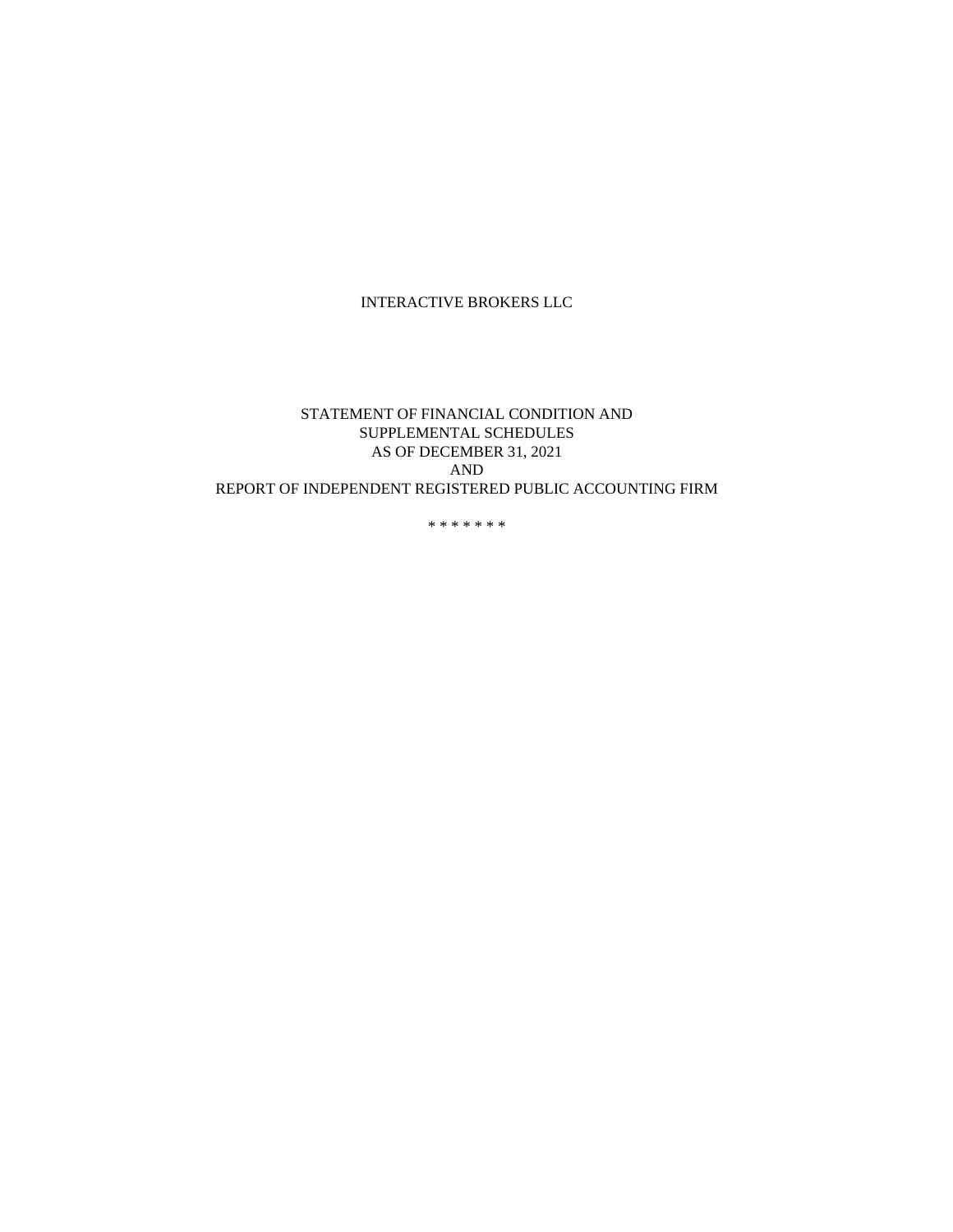# INTERACTIVE BROKERS LLC

## STATEMENT OF FINANCIAL CONDITION AND SUPPLEMENTAL SCHEDULES AS OF DECEMBER 31, 2021 AND REPORT OF INDEPENDENT REGISTERED PUBLIC ACCOUNTING FIRM

\* \* \* \* \* \* \*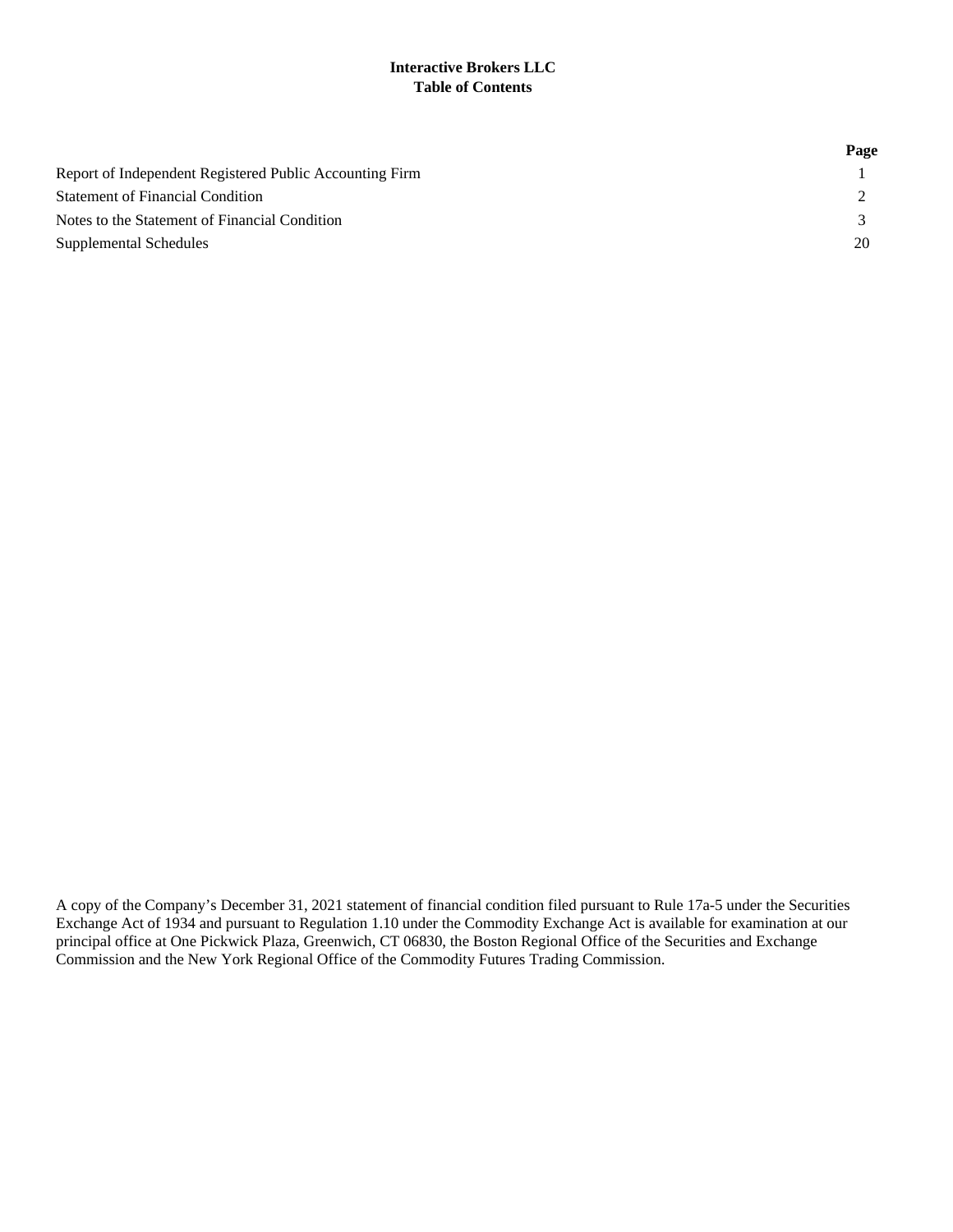## **Interactive Brokers LLC Table of Contents**

|                                                         | Page |
|---------------------------------------------------------|------|
| Report of Independent Registered Public Accounting Firm |      |
| <b>Statement of Financial Condition</b>                 |      |
| Notes to the Statement of Financial Condition           |      |
| Supplemental Schedules                                  | 20   |

A copy of the Company's December 31, 2021 statement of financial condition filed pursuant to Rule 17a-5 under the Securities Exchange Act of 1934 and pursuant to Regulation 1.10 under the Commodity Exchange Act is available for examination at our principal office at One Pickwick Plaza, Greenwich, CT 06830, the Boston Regional Office of the Securities and Exchange Commission and the New York Regional Office of the Commodity Futures Trading Commission.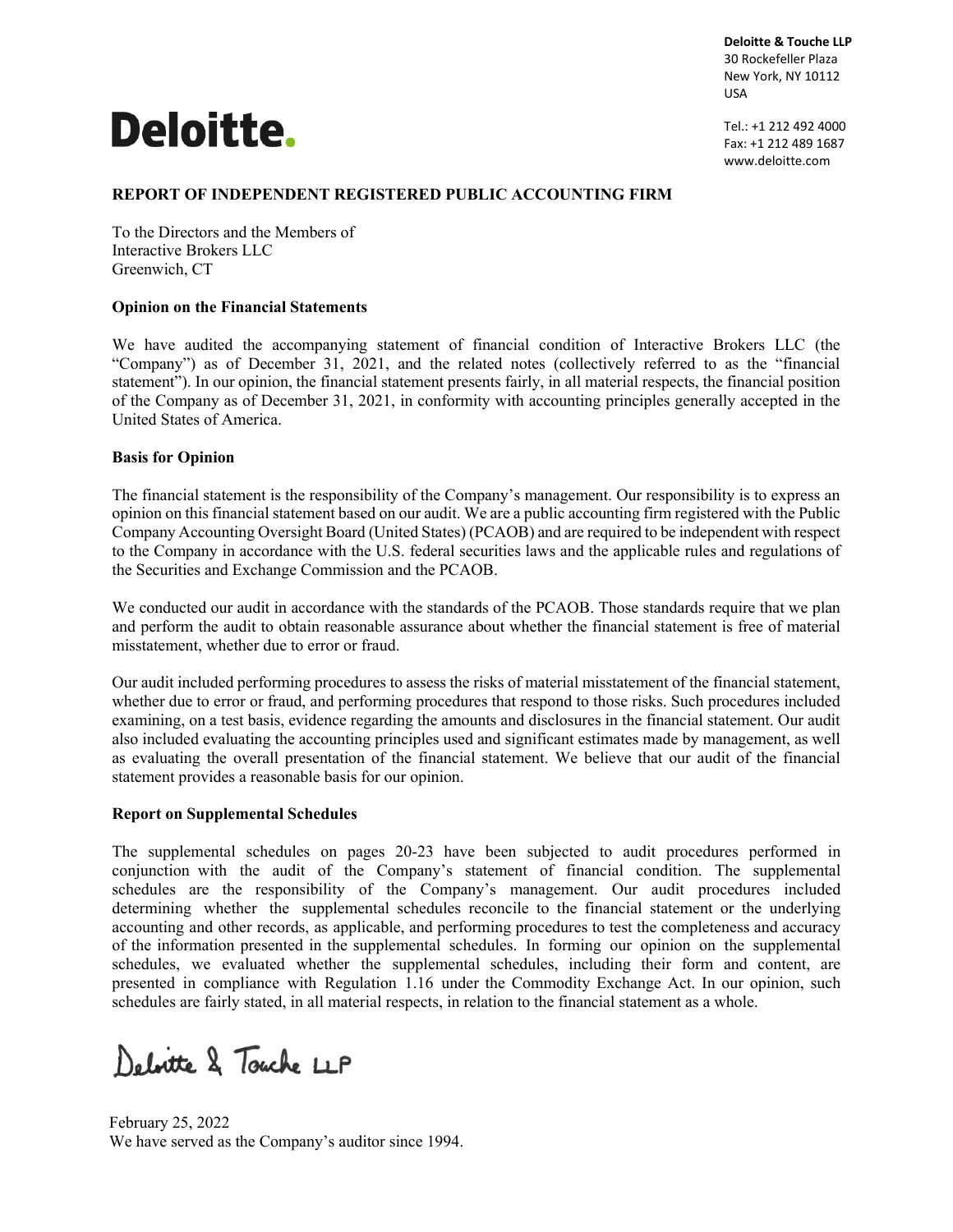# **Deloitte.**

**Deloitte & Touche LLP** 30 Rockefeller Plaza New York, NY 10112 USA

Tel.: +1 212 492 4000 Fax: +1 212 489 1687 www.deloitte.com

# **REPORT OF INDEPENDENT REGISTERED PUBLIC ACCOUNTING FIRM**

To the Directors and the Members of Interactive Brokers LLC Greenwich, CT

## **Opinion on the Financial Statements**

We have audited the accompanying statement of financial condition of Interactive Brokers LLC (the "Company") as of December 31, 2021, and the related notes (collectively referred to as the "financial statement"). In our opinion, the financial statement presents fairly, in all material respects, the financial position of the Company as of December 31, 2021, in conformity with accounting principles generally accepted in the United States of America.

## **Basis for Opinion**

The financial statement is the responsibility of the Company's management. Our responsibility is to express an opinion on this financial statement based on our audit. We are a public accounting firm registered with the Public Company Accounting Oversight Board (United States) (PCAOB) and are required to be independent with respect to the Company in accordance with the U.S. federal securities laws and the applicable rules and regulations of the Securities and Exchange Commission and the PCAOB.

We conducted our audit in accordance with the standards of the PCAOB. Those standards require that we plan and perform the audit to obtain reasonable assurance about whether the financial statement is free of material misstatement, whether due to error or fraud.

Our audit included performing procedures to assess the risks of material misstatement of the financial statement, whether due to error or fraud, and performing procedures that respond to those risks. Such procedures included examining, on a test basis, evidence regarding the amounts and disclosures in the financial statement. Our audit also included evaluating the accounting principles used and significant estimates made by management, as well as evaluating the overall presentation of the financial statement. We believe that our audit of the financial statement provides a reasonable basis for our opinion.

#### **Report on Supplemental Schedules**

The supplemental schedules on pages 20-23 have been subjected to audit procedures performed in conjunction with the audit of the Company's statement of financial condition. The supplemental schedules are the responsibility of the Company's management. Our audit procedures included determining whether the supplemental schedules reconcile to the financial statement or the underlying accounting and other records, as applicable, and performing procedures to test the completeness and accuracy of the information presented in the supplemental schedules. In forming our opinion on the supplemental schedules, we evaluated whether the supplemental schedules, including their form and content, are presented in compliance with Regulation 1.16 under the Commodity Exchange Act. In our opinion, such schedules are fairly stated, in all material respects, in relation to the financial statement as a whole.

Delvitte & Touche LLP

February 25, 2022 We have served as the Company's auditor since 1994.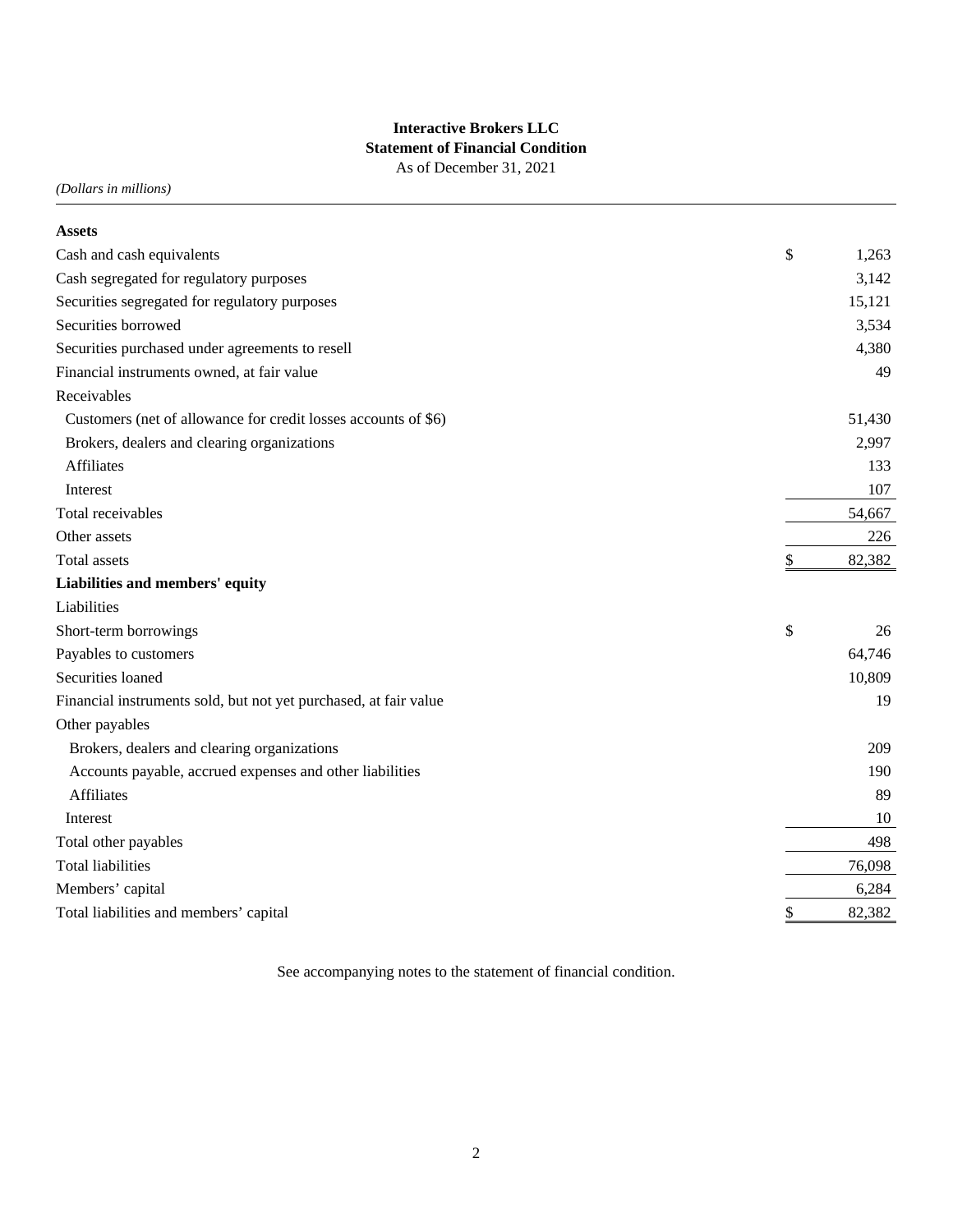# **Interactive Brokers LLC Statement of Financial Condition** As of December 31, 2021

*(Dollars in millions)*

| <b>Assets</b>                                                    |              |
|------------------------------------------------------------------|--------------|
| Cash and cash equivalents                                        | \$<br>1,263  |
| Cash segregated for regulatory purposes                          | 3,142        |
| Securities segregated for regulatory purposes                    | 15,121       |
| Securities borrowed                                              | 3,534        |
| Securities purchased under agreements to resell                  | 4,380        |
| Financial instruments owned, at fair value                       | 49           |
| Receivables                                                      |              |
| Customers (net of allowance for credit losses accounts of \$6)   | 51,430       |
| Brokers, dealers and clearing organizations                      | 2,997        |
| <b>Affiliates</b>                                                | 133          |
| Interest                                                         | 107          |
| Total receivables                                                | 54,667       |
| Other assets                                                     | 226          |
| <b>Total assets</b>                                              | \$<br>82,382 |
| Liabilities and members' equity                                  |              |
| Liabilities                                                      |              |
| Short-term borrowings                                            | \$<br>26     |
| Payables to customers                                            | 64,746       |
| Securities loaned                                                | 10,809       |
| Financial instruments sold, but not yet purchased, at fair value | 19           |
| Other payables                                                   |              |
| Brokers, dealers and clearing organizations                      | 209          |
| Accounts payable, accrued expenses and other liabilities         | 190          |
| <b>Affiliates</b>                                                | 89           |
| Interest                                                         | 10           |
| Total other payables                                             | 498          |
| <b>Total liabilities</b>                                         | 76,098       |
| Members' capital                                                 | 6,284        |
| Total liabilities and members' capital                           | \$<br>82,382 |

See accompanying notes to the statement of financial condition.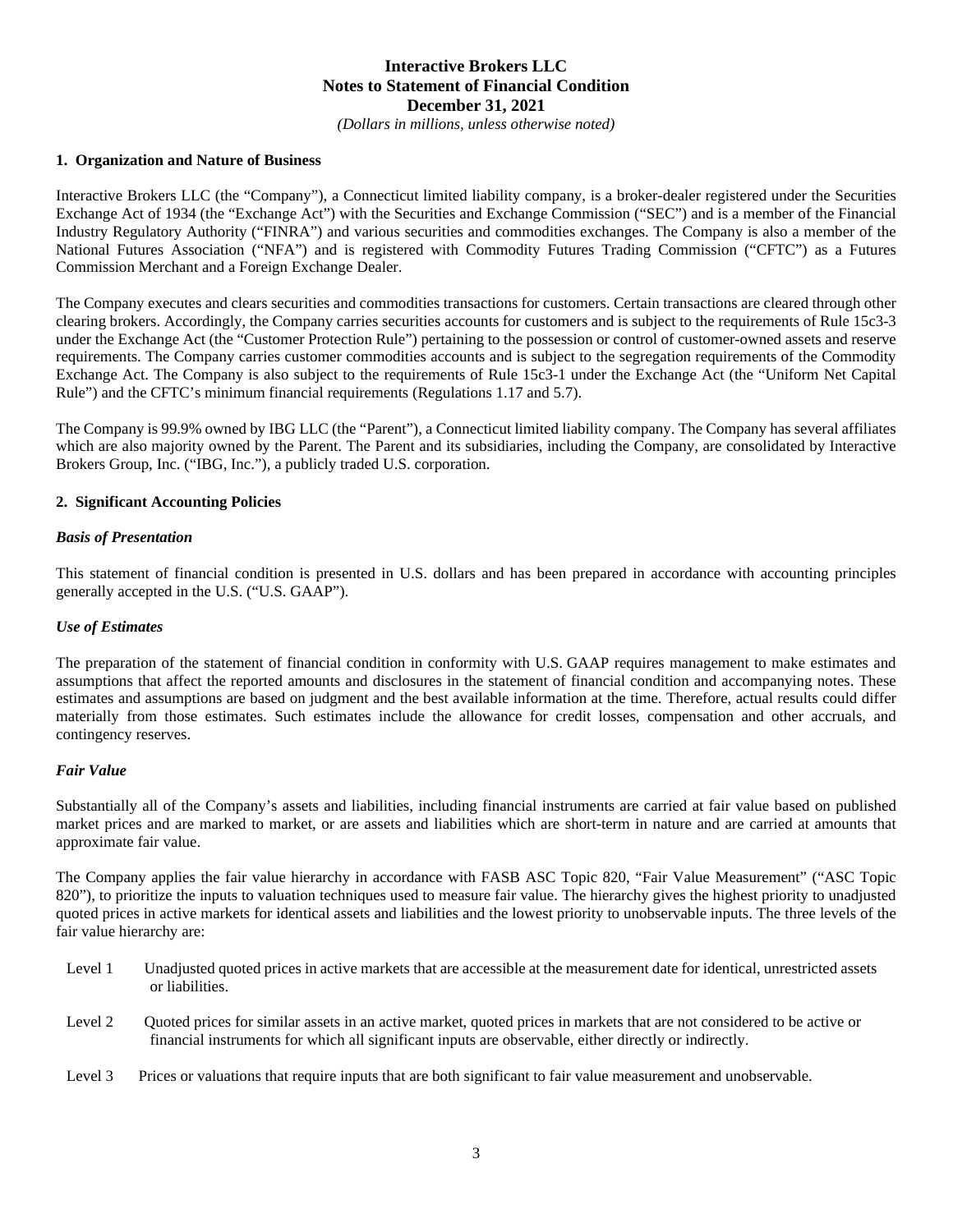*(Dollars in millions, unless otherwise noted)*

#### **1. Organization and Nature of Business**

Interactive Brokers LLC (the "Company"), a Connecticut limited liability company, is a broker-dealer registered under the Securities Exchange Act of 1934 (the "Exchange Act") with the Securities and Exchange Commission ("SEC") and is a member of the Financial Industry Regulatory Authority ("FINRA") and various securities and commodities exchanges. The Company is also a member of the National Futures Association ("NFA") and is registered with Commodity Futures Trading Commission ("CFTC") as a Futures Commission Merchant and a Foreign Exchange Dealer.

The Company executes and clears securities and commodities transactions for customers. Certain transactions are cleared through other clearing brokers. Accordingly, the Company carries securities accounts for customers and is subject to the requirements of Rule 15c3-3 under the Exchange Act (the "Customer Protection Rule") pertaining to the possession or control of customer-owned assets and reserve requirements. The Company carries customer commodities accounts and is subject to the segregation requirements of the Commodity Exchange Act. The Company is also subject to the requirements of Rule 15c3-1 under the Exchange Act (the "Uniform Net Capital Rule") and the CFTC's minimum financial requirements (Regulations 1.17 and 5.7).

The Company is 99.9% owned by IBG LLC (the "Parent"), a Connecticut limited liability company. The Company has several affiliates which are also majority owned by the Parent. The Parent and its subsidiaries, including the Company, are consolidated by Interactive Brokers Group, Inc. ("IBG, Inc."), a publicly traded U.S. corporation.

#### **2. Significant Accounting Policies**

#### *Basis of Presentation*

This statement of financial condition is presented in U.S. dollars and has been prepared in accordance with accounting principles generally accepted in the U.S. ("U.S. GAAP").

#### *Use of Estimates*

The preparation of the statement of financial condition in conformity with U.S. GAAP requires management to make estimates and assumptions that affect the reported amounts and disclosures in the statement of financial condition and accompanying notes. These estimates and assumptions are based on judgment and the best available information at the time. Therefore, actual results could differ materially from those estimates. Such estimates include the allowance for credit losses, compensation and other accruals, and contingency reserves.

## *Fair Value*

Substantially all of the Company's assets and liabilities, including financial instruments are carried at fair value based on published market prices and are marked to market, or are assets and liabilities which are short-term in nature and are carried at amounts that approximate fair value.

The Company applies the fair value hierarchy in accordance with FASB ASC Topic 820, "Fair Value Measurement" ("ASC Topic 820"), to prioritize the inputs to valuation techniques used to measure fair value. The hierarchy gives the highest priority to unadjusted quoted prices in active markets for identical assets and liabilities and the lowest priority to unobservable inputs. The three levels of the fair value hierarchy are:

- Level 1 Unadjusted quoted prices in active markets that are accessible at the measurement date for identical, unrestricted assets or liabilities.
- Level 2 Quoted prices for similar assets in an active market, quoted prices in markets that are not considered to be active or financial instruments for which all significant inputs are observable, either directly or indirectly.
- Level 3 Prices or valuations that require inputs that are both significant to fair value measurement and unobservable.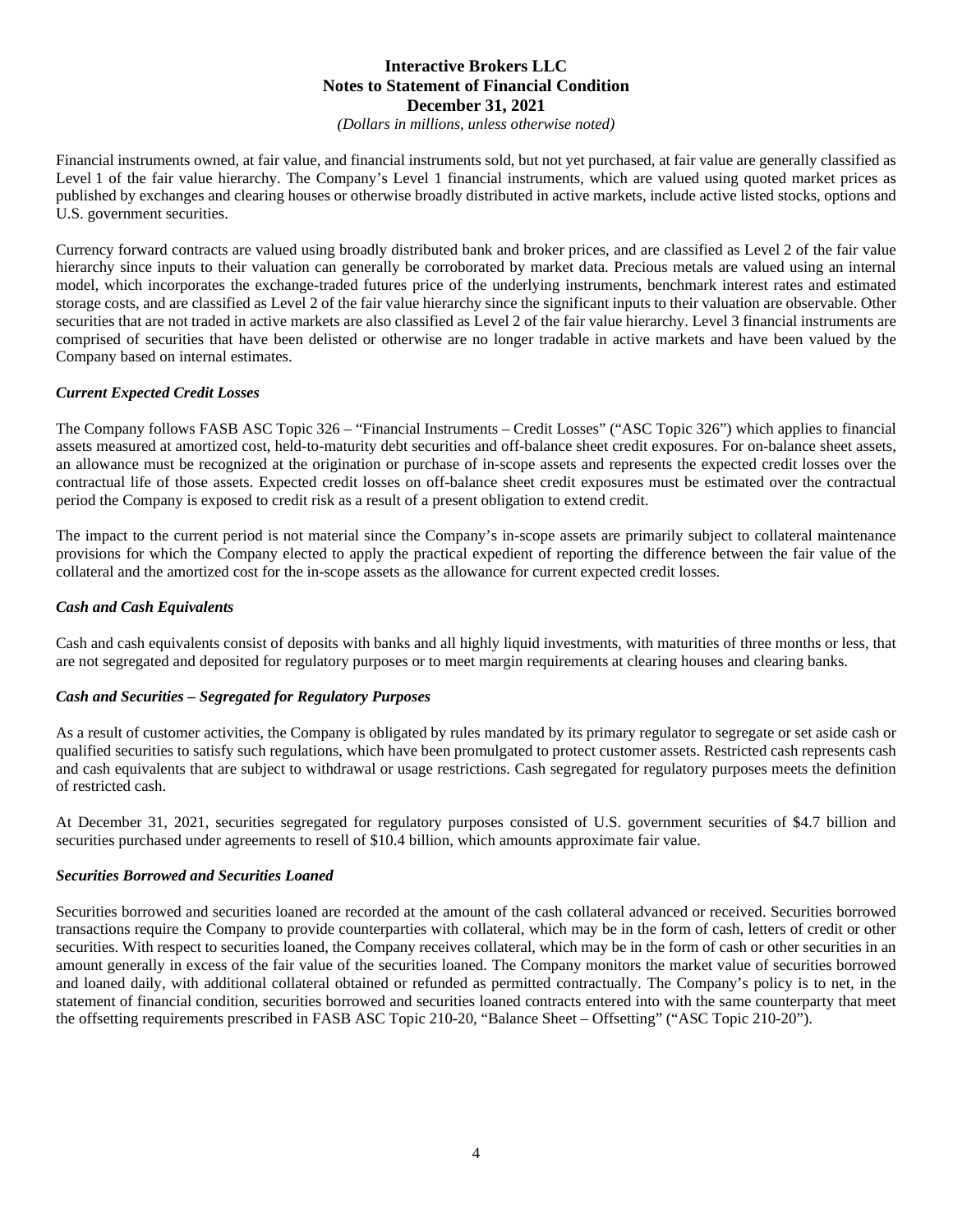*(Dollars in millions, unless otherwise noted)*

Financial instruments owned, at fair value, and financial instruments sold, but not yet purchased, at fair value are generally classified as Level 1 of the fair value hierarchy. The Company's Level 1 financial instruments, which are valued using quoted market prices as published by exchanges and clearing houses or otherwise broadly distributed in active markets, include active listed stocks, options and U.S. government securities.

Currency forward contracts are valued using broadly distributed bank and broker prices, and are classified as Level 2 of the fair value hierarchy since inputs to their valuation can generally be corroborated by market data. Precious metals are valued using an internal model, which incorporates the exchange-traded futures price of the underlying instruments, benchmark interest rates and estimated storage costs, and are classified as Level 2 of the fair value hierarchy since the significant inputs to their valuation are observable. Other securities that are not traded in active markets are also classified as Level 2 of the fair value hierarchy. Level 3 financial instruments are comprised of securities that have been delisted or otherwise are no longer tradable in active markets and have been valued by the Company based on internal estimates.

## *Current Expected Credit Losses*

The Company follows FASB ASC Topic 326 – "Financial Instruments – Credit Losses" ("ASC Topic 326") which applies to financial assets measured at amortized cost, held-to-maturity debt securities and off-balance sheet credit exposures. For on-balance sheet assets, an allowance must be recognized at the origination or purchase of in-scope assets and represents the expected credit losses over the contractual life of those assets. Expected credit losses on off-balance sheet credit exposures must be estimated over the contractual period the Company is exposed to credit risk as a result of a present obligation to extend credit.

The impact to the current period is not material since the Company's in-scope assets are primarily subject to collateral maintenance provisions for which the Company elected to apply the practical expedient of reporting the difference between the fair value of the collateral and the amortized cost for the in-scope assets as the allowance for current expected credit losses.

## *Cash and Cash Equivalents*

Cash and cash equivalents consist of deposits with banks and all highly liquid investments, with maturities of three months or less, that are not segregated and deposited for regulatory purposes or to meet margin requirements at clearing houses and clearing banks.

#### *Cash and Securities – Segregated for Regulatory Purposes*

As a result of customer activities, the Company is obligated by rules mandated by its primary regulator to segregate or set aside cash or qualified securities to satisfy such regulations, which have been promulgated to protect customer assets. Restricted cash represents cash and cash equivalents that are subject to withdrawal or usage restrictions. Cash segregated for regulatory purposes meets the definition of restricted cash.

At December 31, 2021, securities segregated for regulatory purposes consisted of U.S. government securities of \$4.7 billion and securities purchased under agreements to resell of \$10.4 billion, which amounts approximate fair value.

## *Securities Borrowed and Securities Loaned*

Securities borrowed and securities loaned are recorded at the amount of the cash collateral advanced or received. Securities borrowed transactions require the Company to provide counterparties with collateral, which may be in the form of cash, letters of credit or other securities. With respect to securities loaned, the Company receives collateral, which may be in the form of cash or other securities in an amount generally in excess of the fair value of the securities loaned. The Company monitors the market value of securities borrowed and loaned daily, with additional collateral obtained or refunded as permitted contractually. The Company's policy is to net, in the statement of financial condition, securities borrowed and securities loaned contracts entered into with the same counterparty that meet the offsetting requirements prescribed in FASB ASC Topic 210-20, "Balance Sheet – Offsetting" ("ASC Topic 210-20").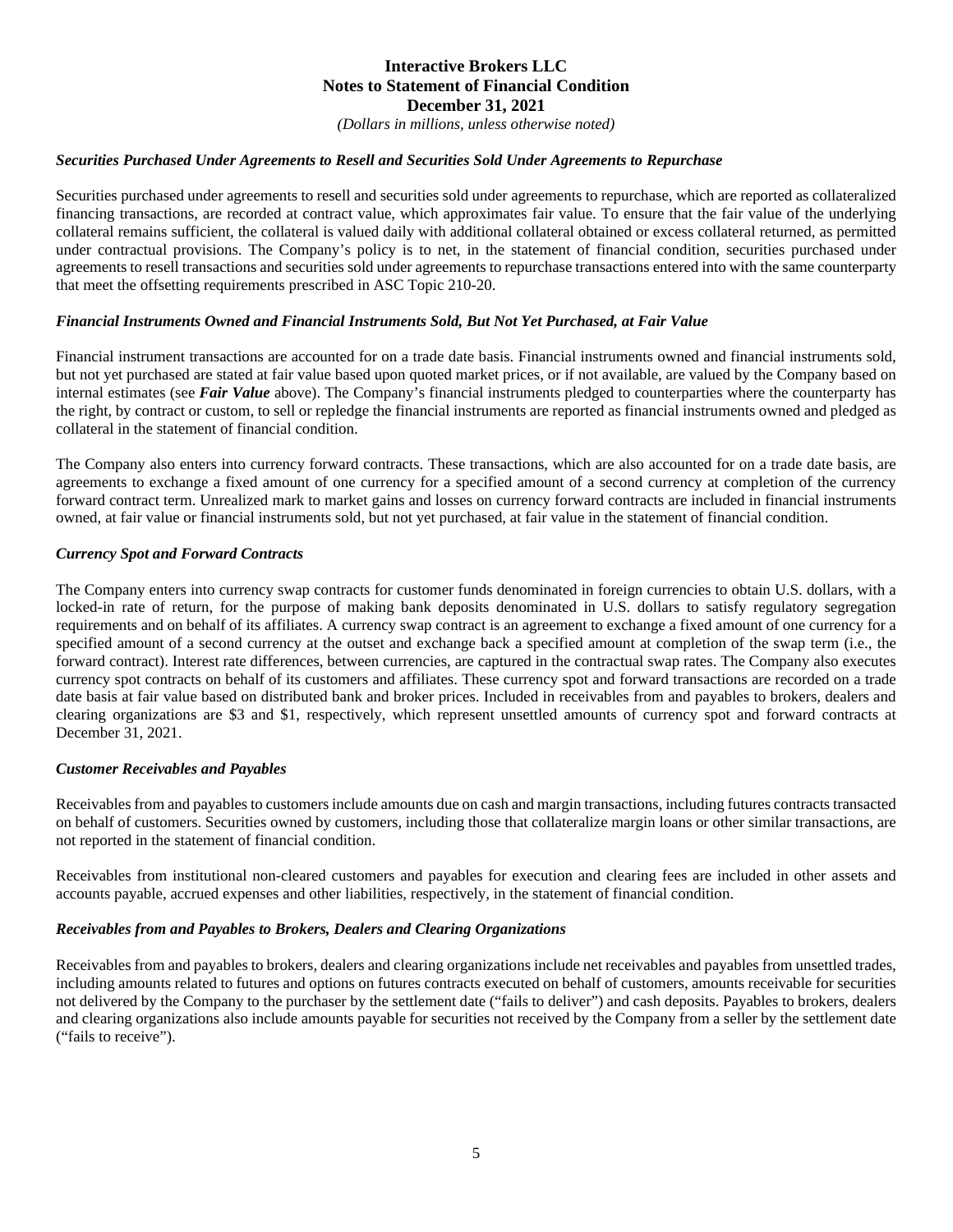*(Dollars in millions, unless otherwise noted)*

## *Securities Purchased Under Agreements to Resell and Securities Sold Under Agreements to Repurchase*

Securities purchased under agreements to resell and securities sold under agreements to repurchase, which are reported as collateralized financing transactions, are recorded at contract value, which approximates fair value. To ensure that the fair value of the underlying collateral remains sufficient, the collateral is valued daily with additional collateral obtained or excess collateral returned, as permitted under contractual provisions. The Company's policy is to net, in the statement of financial condition, securities purchased under agreements to resell transactions and securities sold under agreements to repurchase transactions entered into with the same counterparty that meet the offsetting requirements prescribed in ASC Topic 210-20.

#### *Financial Instruments Owned and Financial Instruments Sold, But Not Yet Purchased, at Fair Value*

Financial instrument transactions are accounted for on a trade date basis. Financial instruments owned and financial instruments sold, but not yet purchased are stated at fair value based upon quoted market prices, or if not available, are valued by the Company based on internal estimates (see *Fair Value* above). The Company's financial instruments pledged to counterparties where the counterparty has the right, by contract or custom, to sell or repledge the financial instruments are reported as financial instruments owned and pledged as collateral in the statement of financial condition.

The Company also enters into currency forward contracts. These transactions, which are also accounted for on a trade date basis, are agreements to exchange a fixed amount of one currency for a specified amount of a second currency at completion of the currency forward contract term. Unrealized mark to market gains and losses on currency forward contracts are included in financial instruments owned, at fair value or financial instruments sold, but not yet purchased, at fair value in the statement of financial condition.

#### *Currency Spot and Forward Contracts*

The Company enters into currency swap contracts for customer funds denominated in foreign currencies to obtain U.S. dollars, with a locked-in rate of return, for the purpose of making bank deposits denominated in U.S. dollars to satisfy regulatory segregation requirements and on behalf of its affiliates. A currency swap contract is an agreement to exchange a fixed amount of one currency for a specified amount of a second currency at the outset and exchange back a specified amount at completion of the swap term (i.e., the forward contract). Interest rate differences, between currencies, are captured in the contractual swap rates. The Company also executes currency spot contracts on behalf of its customers and affiliates. These currency spot and forward transactions are recorded on a trade date basis at fair value based on distributed bank and broker prices. Included in receivables from and payables to brokers, dealers and clearing organizations are \$3 and \$1, respectively, which represent unsettled amounts of currency spot and forward contracts at December 31, 2021.

#### *Customer Receivables and Payables*

Receivables from and payables to customers include amounts due on cash and margin transactions, including futures contracts transacted on behalf of customers. Securities owned by customers, including those that collateralize margin loans or other similar transactions, are not reported in the statement of financial condition.

Receivables from institutional non-cleared customers and payables for execution and clearing fees are included in other assets and accounts payable, accrued expenses and other liabilities, respectively, in the statement of financial condition.

#### *Receivables from and Payables to Brokers, Dealers and Clearing Organizations*

Receivables from and payables to brokers, dealers and clearing organizations include net receivables and payables from unsettled trades, including amounts related to futures and options on futures contracts executed on behalf of customers, amounts receivable for securities not delivered by the Company to the purchaser by the settlement date ("fails to deliver") and cash deposits. Payables to brokers, dealers and clearing organizations also include amounts payable for securities not received by the Company from a seller by the settlement date ("fails to receive").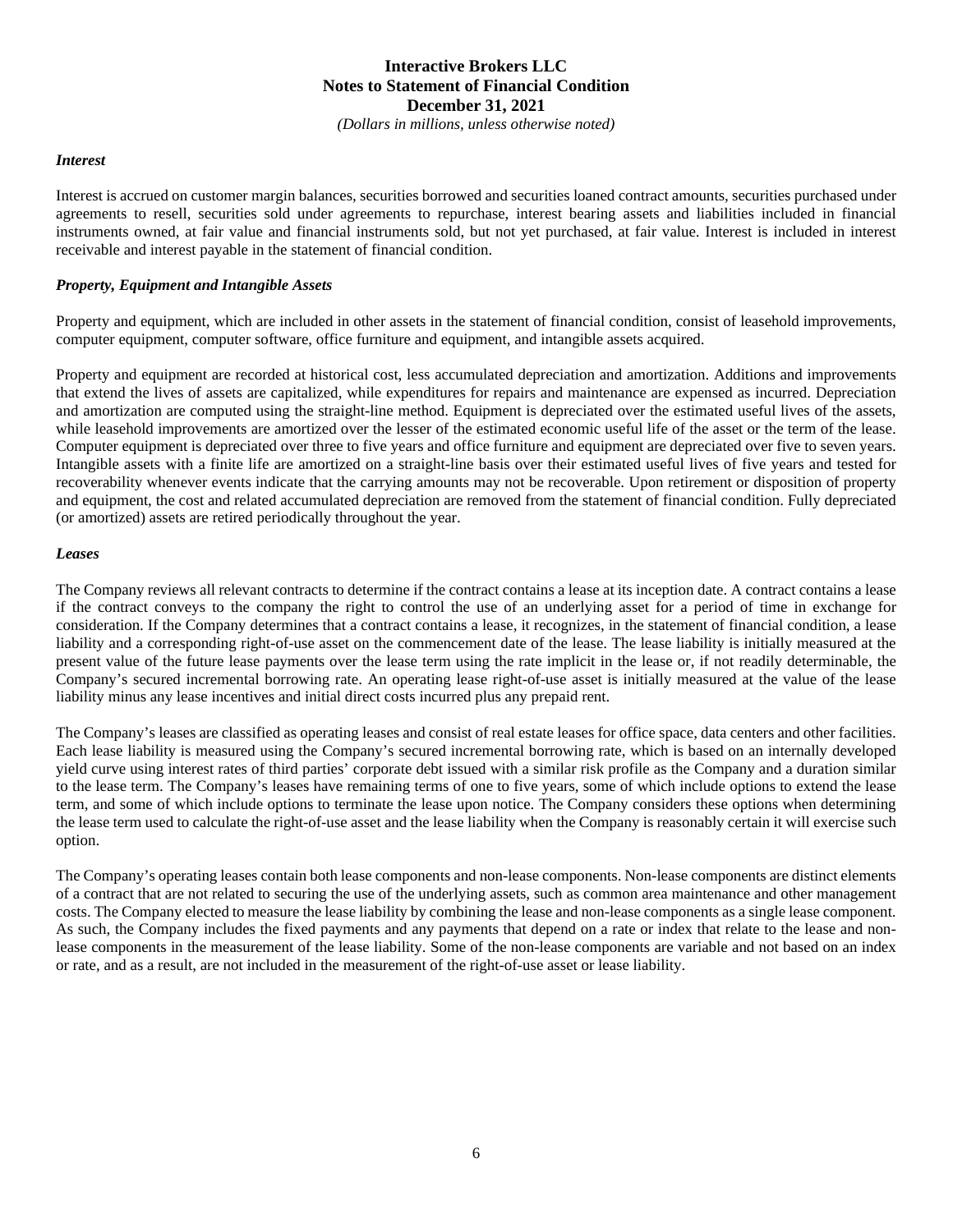*(Dollars in millions, unless otherwise noted)*

#### *Interest*

Interest is accrued on customer margin balances, securities borrowed and securities loaned contract amounts, securities purchased under agreements to resell, securities sold under agreements to repurchase, interest bearing assets and liabilities included in financial instruments owned, at fair value and financial instruments sold, but not yet purchased, at fair value. Interest is included in interest receivable and interest payable in the statement of financial condition.

#### *Property, Equipment and Intangible Assets*

Property and equipment, which are included in other assets in the statement of financial condition, consist of leasehold improvements, computer equipment, computer software, office furniture and equipment, and intangible assets acquired.

Property and equipment are recorded at historical cost, less accumulated depreciation and amortization. Additions and improvements that extend the lives of assets are capitalized, while expenditures for repairs and maintenance are expensed as incurred. Depreciation and amortization are computed using the straight-line method. Equipment is depreciated over the estimated useful lives of the assets, while leasehold improvements are amortized over the lesser of the estimated economic useful life of the asset or the term of the lease. Computer equipment is depreciated over three to five years and office furniture and equipment are depreciated over five to seven years. Intangible assets with a finite life are amortized on a straight-line basis over their estimated useful lives of five years and tested for recoverability whenever events indicate that the carrying amounts may not be recoverable. Upon retirement or disposition of property and equipment, the cost and related accumulated depreciation are removed from the statement of financial condition. Fully depreciated (or amortized) assets are retired periodically throughout the year.

#### *Leases*

The Company reviews all relevant contracts to determine if the contract contains a lease at its inception date. A contract contains a lease if the contract conveys to the company the right to control the use of an underlying asset for a period of time in exchange for consideration. If the Company determines that a contract contains a lease, it recognizes, in the statement of financial condition, a lease liability and a corresponding right-of-use asset on the commencement date of the lease. The lease liability is initially measured at the present value of the future lease payments over the lease term using the rate implicit in the lease or, if not readily determinable, the Company's secured incremental borrowing rate. An operating lease right-of-use asset is initially measured at the value of the lease liability minus any lease incentives and initial direct costs incurred plus any prepaid rent.

The Company's leases are classified as operating leases and consist of real estate leases for office space, data centers and other facilities. Each lease liability is measured using the Company's secured incremental borrowing rate, which is based on an internally developed yield curve using interest rates of third parties' corporate debt issued with a similar risk profile as the Company and a duration similar to the lease term. The Company's leases have remaining terms of one to five years, some of which include options to extend the lease term, and some of which include options to terminate the lease upon notice. The Company considers these options when determining the lease term used to calculate the right-of-use asset and the lease liability when the Company is reasonably certain it will exercise such option.

The Company's operating leases contain both lease components and non-lease components. Non-lease components are distinct elements of a contract that are not related to securing the use of the underlying assets, such as common area maintenance and other management costs. The Company elected to measure the lease liability by combining the lease and non-lease components as a single lease component. As such, the Company includes the fixed payments and any payments that depend on a rate or index that relate to the lease and nonlease components in the measurement of the lease liability. Some of the non-lease components are variable and not based on an index or rate, and as a result, are not included in the measurement of the right-of-use asset or lease liability.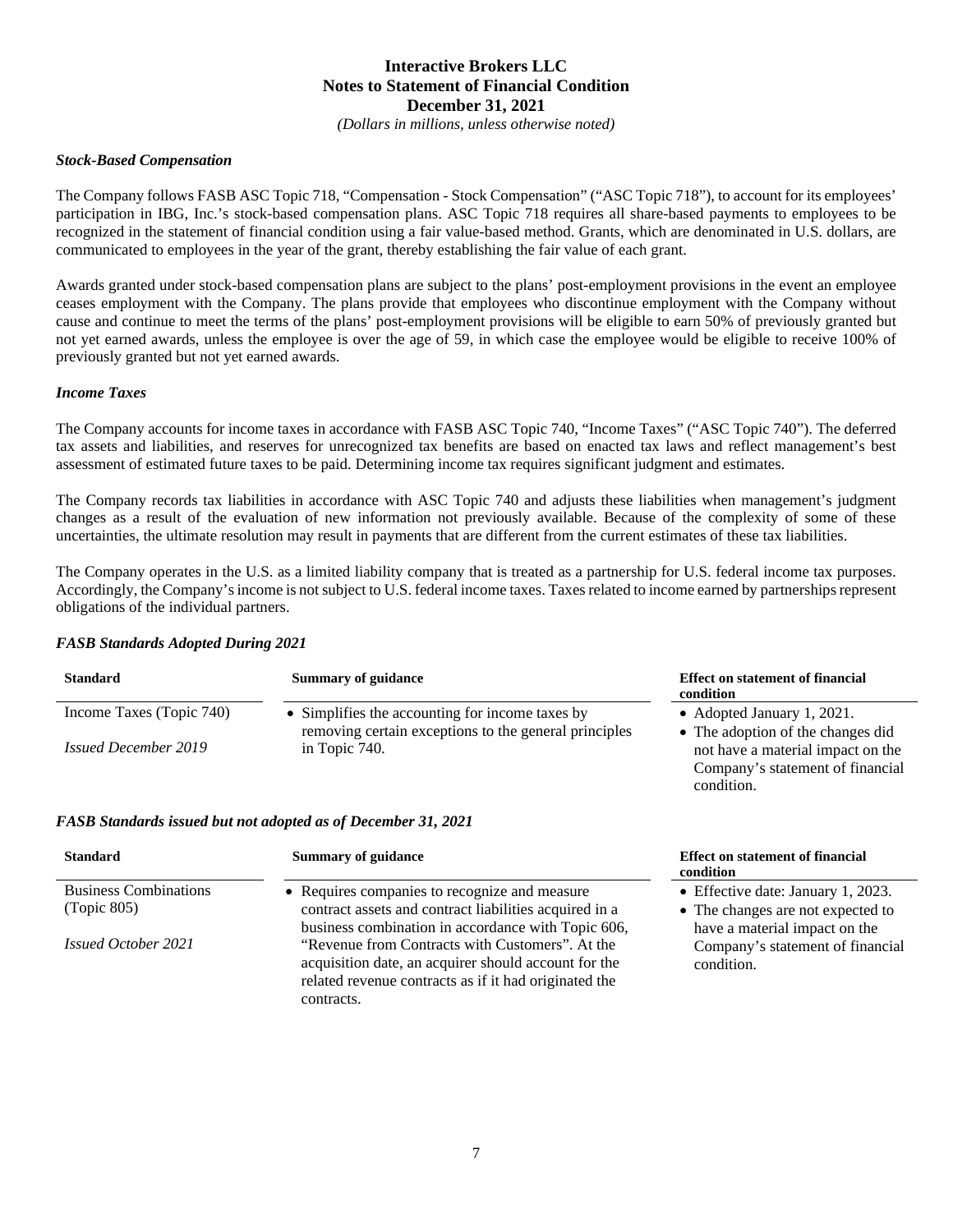*(Dollars in millions, unless otherwise noted)*

#### *Stock-Based Compensation*

The Company follows FASB ASC Topic 718, "Compensation - Stock Compensation" ("ASC Topic 718"), to account for its employees' participation in IBG, Inc.'s stock-based compensation plans. ASC Topic 718 requires all share-based payments to employees to be recognized in the statement of financial condition using a fair value-based method. Grants, which are denominated in U.S. dollars, are communicated to employees in the year of the grant, thereby establishing the fair value of each grant.

Awards granted under stock-based compensation plans are subject to the plans' post-employment provisions in the event an employee ceases employment with the Company. The plans provide that employees who discontinue employment with the Company without cause and continue to meet the terms of the plans' post-employment provisions will be eligible to earn 50% of previously granted but not yet earned awards, unless the employee is over the age of 59, in which case the employee would be eligible to receive 100% of previously granted but not yet earned awards.

#### *Income Taxes*

The Company accounts for income taxes in accordance with FASB ASC Topic 740, "Income Taxes" ("ASC Topic 740"). The deferred tax assets and liabilities, and reserves for unrecognized tax benefits are based on enacted tax laws and reflect management's best assessment of estimated future taxes to be paid. Determining income tax requires significant judgment and estimates.

The Company records tax liabilities in accordance with ASC Topic 740 and adjusts these liabilities when management's judgment changes as a result of the evaluation of new information not previously available. Because of the complexity of some of these uncertainties, the ultimate resolution may result in payments that are different from the current estimates of these tax liabilities.

The Company operates in the U.S. as a limited liability company that is treated as a partnership for U.S. federal income tax purposes. Accordingly, the Company's income is not subject to U.S. federal income taxes. Taxes related to income earned by partnerships represent obligations of the individual partners.

#### *FASB Standards Adopted During 2021*

| <b>Standard</b>             | <b>Summary of guidance</b>                            | <b>Effect on statement of financial</b><br>condition |
|-----------------------------|-------------------------------------------------------|------------------------------------------------------|
| Income Taxes (Topic 740)    | • Simplifies the accounting for income taxes by       | • Adopted January 1, 2021.                           |
|                             | removing certain exceptions to the general principles | • The adoption of the changes did                    |
| <i>Issued December 2019</i> | in Topic 740.                                         | not have a material impact on the                    |
|                             |                                                       | Company's statement of financial                     |

condition.

#### *FASB Standards issued but not adopted as of December 31, 2021*

| <b>Standard</b>              | <b>Summary of guidance</b>                                                                                                                                       | <b>Effect on statement of financial</b><br>condition               |
|------------------------------|------------------------------------------------------------------------------------------------------------------------------------------------------------------|--------------------------------------------------------------------|
| <b>Business Combinations</b> | • Requires companies to recognize and measure                                                                                                                    | • Effective date: January 1, 2023.                                 |
| (Topic 805)                  | contract assets and contract liabilities acquired in a<br>business combination in accordance with Topic 606,                                                     | • The changes are not expected to<br>have a material impact on the |
| <i>Issued October 2021</i>   | "Revenue from Contracts with Customers". At the<br>acquisition date, an acquirer should account for the<br>related revenue contracts as if it had originated the | Company's statement of financial<br>condition.                     |
|                              | contracts.                                                                                                                                                       |                                                                    |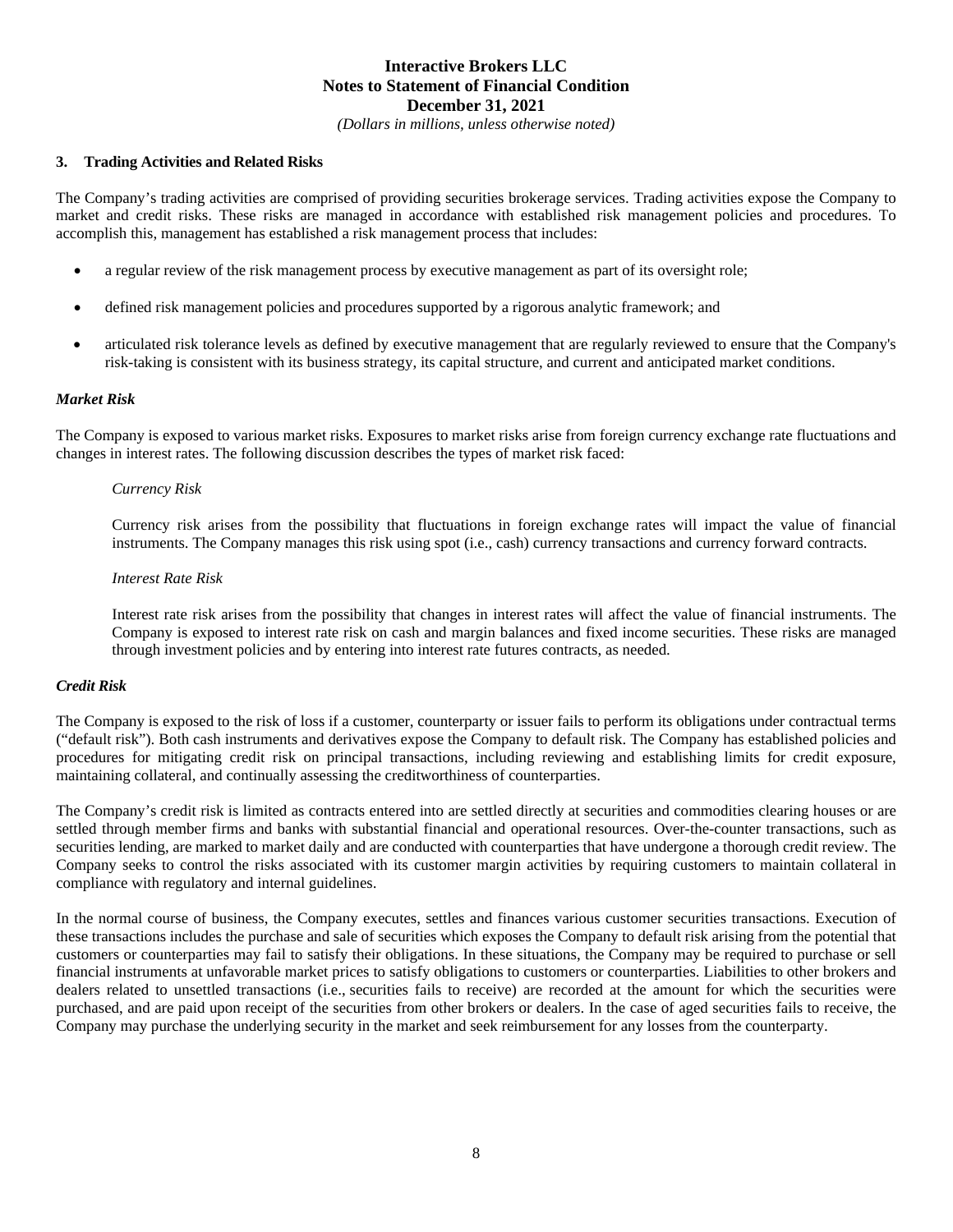*(Dollars in millions, unless otherwise noted)*

## **3. Trading Activities and Related Risks**

The Company's trading activities are comprised of providing securities brokerage services. Trading activities expose the Company to market and credit risks. These risks are managed in accordance with established risk management policies and procedures. To accomplish this, management has established a risk management process that includes:

- a regular review of the risk management process by executive management as part of its oversight role;
- defined risk management policies and procedures supported by a rigorous analytic framework; and
- articulated risk tolerance levels as defined by executive management that are regularly reviewed to ensure that the Company's risk-taking is consistent with its business strategy, its capital structure, and current and anticipated market conditions.

## *Market Risk*

The Company is exposed to various market risks. Exposures to market risks arise from foreign currency exchange rate fluctuations and changes in interest rates. The following discussion describes the types of market risk faced:

#### *Currency Risk*

Currency risk arises from the possibility that fluctuations in foreign exchange rates will impact the value of financial instruments. The Company manages this risk using spot (i.e., cash) currency transactions and currency forward contracts.

#### *Interest Rate Risk*

Interest rate risk arises from the possibility that changes in interest rates will affect the value of financial instruments. The Company is exposed to interest rate risk on cash and margin balances and fixed income securities. These risks are managed through investment policies and by entering into interest rate futures contracts, as needed.

#### *Credit Risk*

The Company is exposed to the risk of loss if a customer, counterparty or issuer fails to perform its obligations under contractual terms ("default risk"). Both cash instruments and derivatives expose the Company to default risk. The Company has established policies and procedures for mitigating credit risk on principal transactions, including reviewing and establishing limits for credit exposure, maintaining collateral, and continually assessing the creditworthiness of counterparties.

The Company's credit risk is limited as contracts entered into are settled directly at securities and commodities clearing houses or are settled through member firms and banks with substantial financial and operational resources. Over-the-counter transactions, such as securities lending, are marked to market daily and are conducted with counterparties that have undergone a thorough credit review. The Company seeks to control the risks associated with its customer margin activities by requiring customers to maintain collateral in compliance with regulatory and internal guidelines.

In the normal course of business, the Company executes, settles and finances various customer securities transactions. Execution of these transactions includes the purchase and sale of securities which exposes the Company to default risk arising from the potential that customers or counterparties may fail to satisfy their obligations. In these situations, the Company may be required to purchase or sell financial instruments at unfavorable market prices to satisfy obligations to customers or counterparties. Liabilities to other brokers and dealers related to unsettled transactions (i.e., securities fails to receive) are recorded at the amount for which the securities were purchased, and are paid upon receipt of the securities from other brokers or dealers. In the case of aged securities fails to receive, the Company may purchase the underlying security in the market and seek reimbursement for any losses from the counterparty.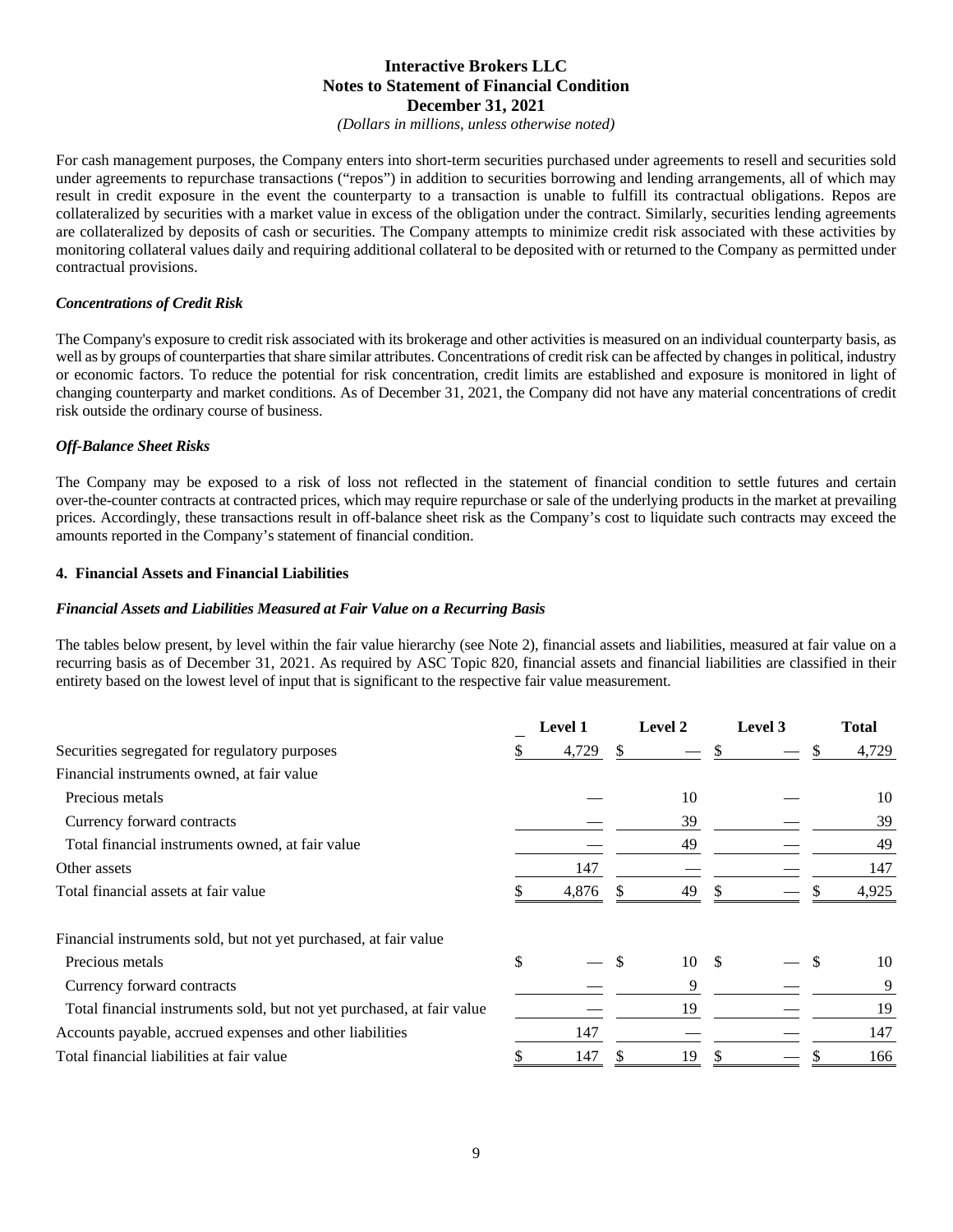*(Dollars in millions, unless otherwise noted)*

For cash management purposes, the Company enters into short-term securities purchased under agreements to resell and securities sold under agreements to repurchase transactions ("repos") in addition to securities borrowing and lending arrangements, all of which may result in credit exposure in the event the counterparty to a transaction is unable to fulfill its contractual obligations. Repos are collateralized by securities with a market value in excess of the obligation under the contract. Similarly, securities lending agreements are collateralized by deposits of cash or securities. The Company attempts to minimize credit risk associated with these activities by monitoring collateral values daily and requiring additional collateral to be deposited with or returned to the Company as permitted under contractual provisions.

#### *Concentrations of Credit Risk*

The Company's exposure to credit risk associated with its brokerage and other activities is measured on an individual counterparty basis, as well as by groups of counterparties that share similar attributes. Concentrations of credit risk can be affected by changes in political, industry or economic factors. To reduce the potential for risk concentration, credit limits are established and exposure is monitored in light of changing counterparty and market conditions. As of December 31, 2021, the Company did not have any material concentrations of credit risk outside the ordinary course of business.

#### *Off-Balance Sheet Risks*

The Company may be exposed to a risk of loss not reflected in the statement of financial condition to settle futures and certain over-the-counter contracts at contracted prices, which may require repurchase or sale of the underlying products in the market at prevailing prices. Accordingly, these transactions result in off-balance sheet risk as the Company's cost to liquidate such contracts may exceed the amounts reported in the Company's statement of financial condition.

#### **4. Financial Assets and Financial Liabilities**

#### *Financial Assets and Liabilities Measured at Fair Value on a Recurring Basis*

The tables below present, by level within the fair value hierarchy (see Note 2), financial assets and liabilities, measured at fair value on a recurring basis as of December 31, 2021. As required by ASC Topic 820, financial assets and financial liabilities are classified in their entirety based on the lowest level of input that is significant to the respective fair value measurement.

|                                                                        | <b>Level 1</b> |     | Level 2 |    | Level 3 |     | <b>Total</b> |
|------------------------------------------------------------------------|----------------|-----|---------|----|---------|-----|--------------|
| Securities segregated for regulatory purposes                          | 4,729          | \$. |         |    |         | S   | 4,729        |
| Financial instruments owned, at fair value                             |                |     |         |    |         |     |              |
| Precious metals                                                        |                |     | 10      |    |         |     | 10           |
| Currency forward contracts                                             |                |     | 39      |    |         |     | 39           |
| Total financial instruments owned, at fair value                       |                |     | 49      |    |         |     | 49           |
| Other assets                                                           | 147            |     |         |    |         |     | 147          |
| Total financial assets at fair value                                   | 4,876          |     | 49      |    |         |     | 4,925        |
| Financial instruments sold, but not yet purchased, at fair value       |                |     |         |    |         |     |              |
| Precious metals                                                        | \$             | \$  | 10      | -S |         | \$. | 10           |
| Currency forward contracts                                             |                |     | 9       |    |         |     | 9            |
| Total financial instruments sold, but not yet purchased, at fair value |                |     | 19      |    |         |     | 19           |
| Accounts payable, accrued expenses and other liabilities               | 147            |     |         |    |         |     | 147          |
| Total financial liabilities at fair value                              | 147            | S   | 19      |    |         |     | 166          |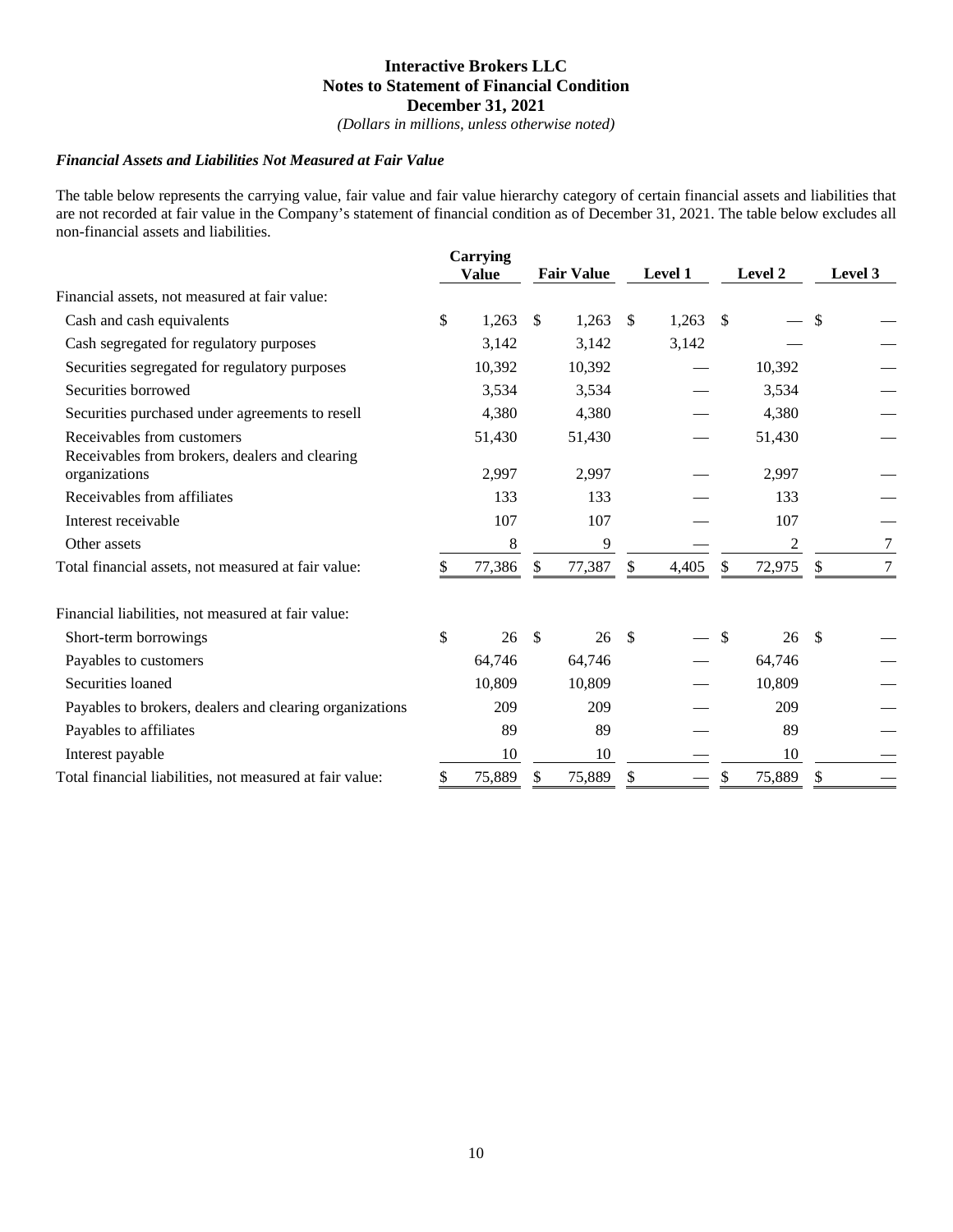*(Dollars in millions, unless otherwise noted)*

#### *Financial Assets and Liabilities Not Measured at Fair Value*

The table below represents the carrying value, fair value and fair value hierarchy category of certain financial assets and liabilities that are not recorded at fair value in the Company's statement of financial condition as of December 31, 2021. The table below excludes all non-financial assets and liabilities.

|                                                          |    | <b>Carrying</b> |    |                   |               |         |               |                |                           |         |
|----------------------------------------------------------|----|-----------------|----|-------------------|---------------|---------|---------------|----------------|---------------------------|---------|
|                                                          |    | <b>Value</b>    |    | <b>Fair Value</b> |               | Level 1 |               | <b>Level 2</b> |                           | Level 3 |
| Financial assets, not measured at fair value:            |    |                 |    |                   |               |         |               |                |                           |         |
| Cash and cash equivalents                                | \$ | 1,263           | \$ | 1,263             | \$            | 1,263   | -S            |                | \$                        |         |
| Cash segregated for regulatory purposes                  |    | 3,142           |    | 3,142             |               | 3,142   |               |                |                           |         |
| Securities segregated for regulatory purposes            |    | 10,392          |    | 10,392            |               |         |               | 10,392         |                           |         |
| Securities borrowed                                      |    | 3,534           |    | 3,534             |               |         |               | 3,534          |                           |         |
| Securities purchased under agreements to resell          |    | 4,380           |    | 4,380             |               |         |               | 4,380          |                           |         |
| Receivables from customers                               |    | 51,430          |    | 51,430            |               |         |               | 51,430         |                           |         |
| Receivables from brokers, dealers and clearing           |    |                 |    |                   |               |         |               |                |                           |         |
| organizations                                            |    | 2,997           |    | 2,997             |               |         |               | 2,997          |                           |         |
| Receivables from affiliates                              |    | 133             |    | 133               |               |         |               | 133            |                           |         |
| Interest receivable                                      |    | 107             |    | 107               |               |         |               | 107            |                           |         |
| Other assets                                             |    | 8               |    | 9                 |               |         |               | $\overline{2}$ |                           | 7       |
| Total financial assets, not measured at fair value:      | S  | 77,386          | \$ | 77,387            | \$            | 4,405   | $\mathcal{S}$ | 72,975         | $\boldsymbol{\mathsf{S}}$ | $\tau$  |
| Financial liabilities, not measured at fair value:       |    |                 |    |                   |               |         |               |                |                           |         |
| Short-term borrowings                                    | \$ | 26              | -S | 26                | <sup>\$</sup> |         | -\$           | 26             | - \$                      |         |
| Payables to customers                                    |    | 64,746          |    | 64,746            |               |         |               | 64,746         |                           |         |
| Securities loaned                                        |    | 10,809          |    | 10,809            |               |         |               | 10,809         |                           |         |
| Payables to brokers, dealers and clearing organizations  |    | 209             |    | 209               |               |         |               | 209            |                           |         |
| Payables to affiliates                                   |    | 89              |    | 89                |               |         |               | 89             |                           |         |
| Interest payable                                         |    | 10              |    | 10                |               |         |               | 10             |                           |         |
| Total financial liabilities, not measured at fair value: | S  | 75,889          | \$ | 75,889            | S             |         | S             | 75,889         | \$                        |         |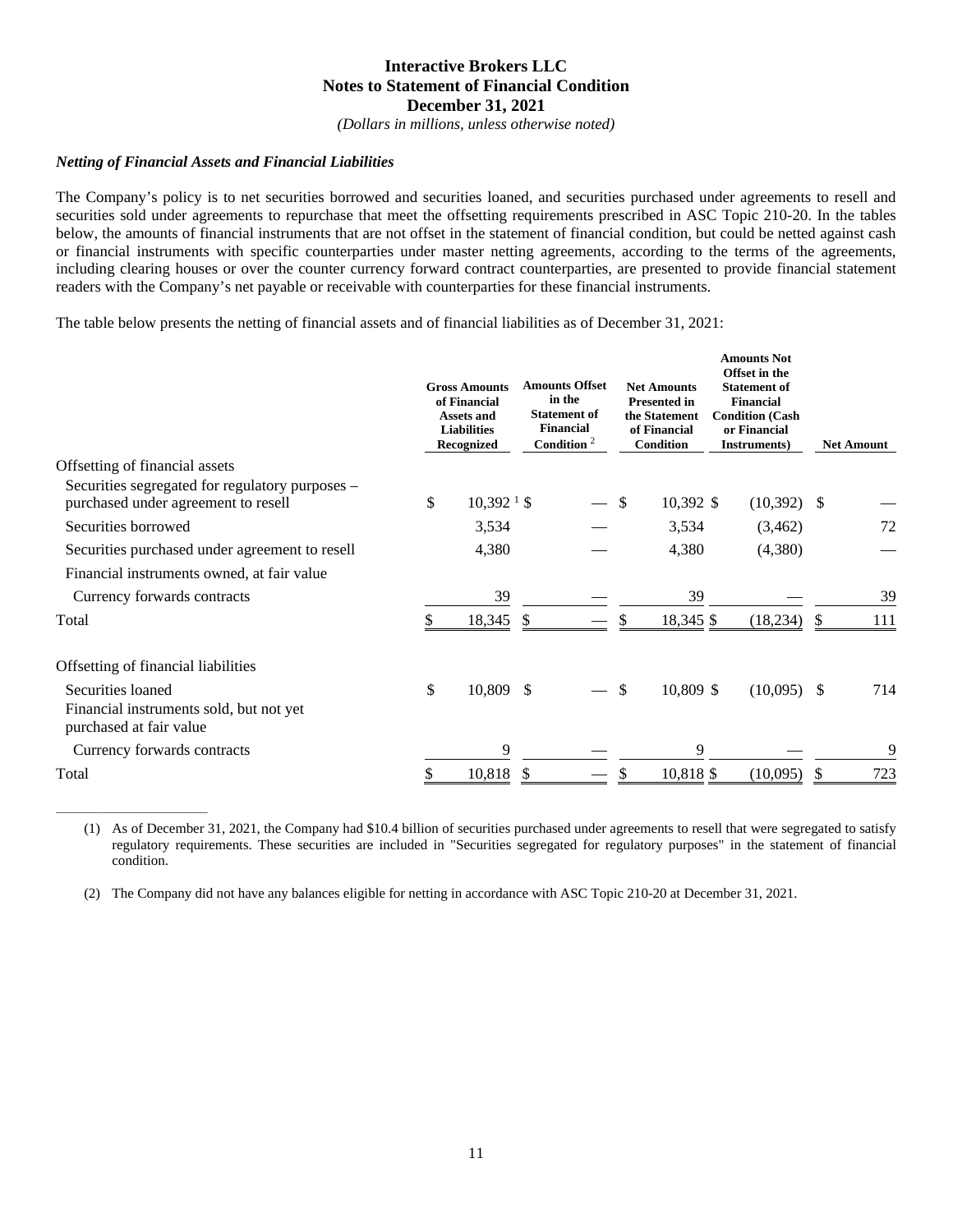*(Dollars in millions, unless otherwise noted)*

## *Netting of Financial Assets and Financial Liabilities*

\_\_\_\_\_\_\_\_\_\_\_\_\_\_\_\_\_\_\_\_\_\_\_\_\_\_\_\_\_\_

The Company's policy is to net securities borrowed and securities loaned, and securities purchased under agreements to resell and securities sold under agreements to repurchase that meet the offsetting requirements prescribed in ASC Topic 210-20. In the tables below, the amounts of financial instruments that are not offset in the statement of financial condition, but could be netted against cash or financial instruments with specific counterparties under master netting agreements, according to the terms of the agreements, including clearing houses or over the counter currency forward contract counterparties, are presented to provide financial statement readers with the Company's net payable or receivable with counterparties for these financial instruments.

The table below presents the netting of financial assets and of financial liabilities as of December 31, 2021:

|                                                                                         | <b>Gross Amounts</b><br>of Financial<br><b>Assets and</b><br><b>Liabilities</b><br><b>Recognized</b> | <b>Amounts Offset</b><br>in the<br><b>Statement of</b><br><b>Financial</b><br>Condition $2$ |  | <b>Net Amounts</b><br><b>Presented in</b><br>the Statement<br>of Financial<br><b>Condition</b> |           | <b>Amounts Not</b><br>Offset in the<br><b>Statement of</b><br><b>Financial</b><br><b>Condition (Cash</b><br>or Financial<br>Instruments) |               |               | <b>Net Amount</b> |
|-----------------------------------------------------------------------------------------|------------------------------------------------------------------------------------------------------|---------------------------------------------------------------------------------------------|--|------------------------------------------------------------------------------------------------|-----------|------------------------------------------------------------------------------------------------------------------------------------------|---------------|---------------|-------------------|
| Offsetting of financial assets                                                          |                                                                                                      |                                                                                             |  |                                                                                                |           |                                                                                                                                          |               |               |                   |
| Securities segregated for regulatory purposes –<br>purchased under agreement to resell  | \$<br>$10,392$ <sup>1</sup> \$                                                                       |                                                                                             |  | $\mathcal{S}$                                                                                  | 10,392 \$ |                                                                                                                                          | $(10,392)$ \$ |               |                   |
| Securities borrowed                                                                     | 3,534                                                                                                |                                                                                             |  |                                                                                                | 3,534     |                                                                                                                                          | (3,462)       |               | 72                |
| Securities purchased under agreement to resell                                          | 4,380                                                                                                |                                                                                             |  |                                                                                                | 4,380     |                                                                                                                                          | (4,380)       |               |                   |
| Financial instruments owned, at fair value                                              |                                                                                                      |                                                                                             |  |                                                                                                |           |                                                                                                                                          |               |               |                   |
| Currency forwards contracts                                                             | 39                                                                                                   |                                                                                             |  |                                                                                                | 39        |                                                                                                                                          |               |               | 39                |
| Total                                                                                   | 18,345                                                                                               | $\mathbb{S}$                                                                                |  | \$.                                                                                            | 18,345 \$ |                                                                                                                                          | (18, 234)     | <sup>\$</sup> | 111               |
| Offsetting of financial liabilities                                                     |                                                                                                      |                                                                                             |  |                                                                                                |           |                                                                                                                                          |               |               |                   |
| Securities loaned<br>Financial instruments sold, but not yet<br>purchased at fair value | \$<br>10,809                                                                                         | -S                                                                                          |  | \$                                                                                             | 10,809 \$ |                                                                                                                                          | $(10,095)$ \$ |               | 714               |
| Currency forwards contracts                                                             | 9                                                                                                    |                                                                                             |  |                                                                                                | 9         |                                                                                                                                          |               |               | 9                 |
| Total                                                                                   | 10,818                                                                                               | -S                                                                                          |  |                                                                                                | 10,818 \$ |                                                                                                                                          | (10,095)      | \$.           | 723               |

(1) As of December 31, 2021, the Company had \$10.4 billion of securities purchased under agreements to resell that were segregated to satisfy regulatory requirements. These securities are included in "Securities segregated for regulatory purposes" in the statement of financial condition.

(2) The Company did not have any balances eligible for netting in accordance with ASC Topic 210-20 at December 31, 2021.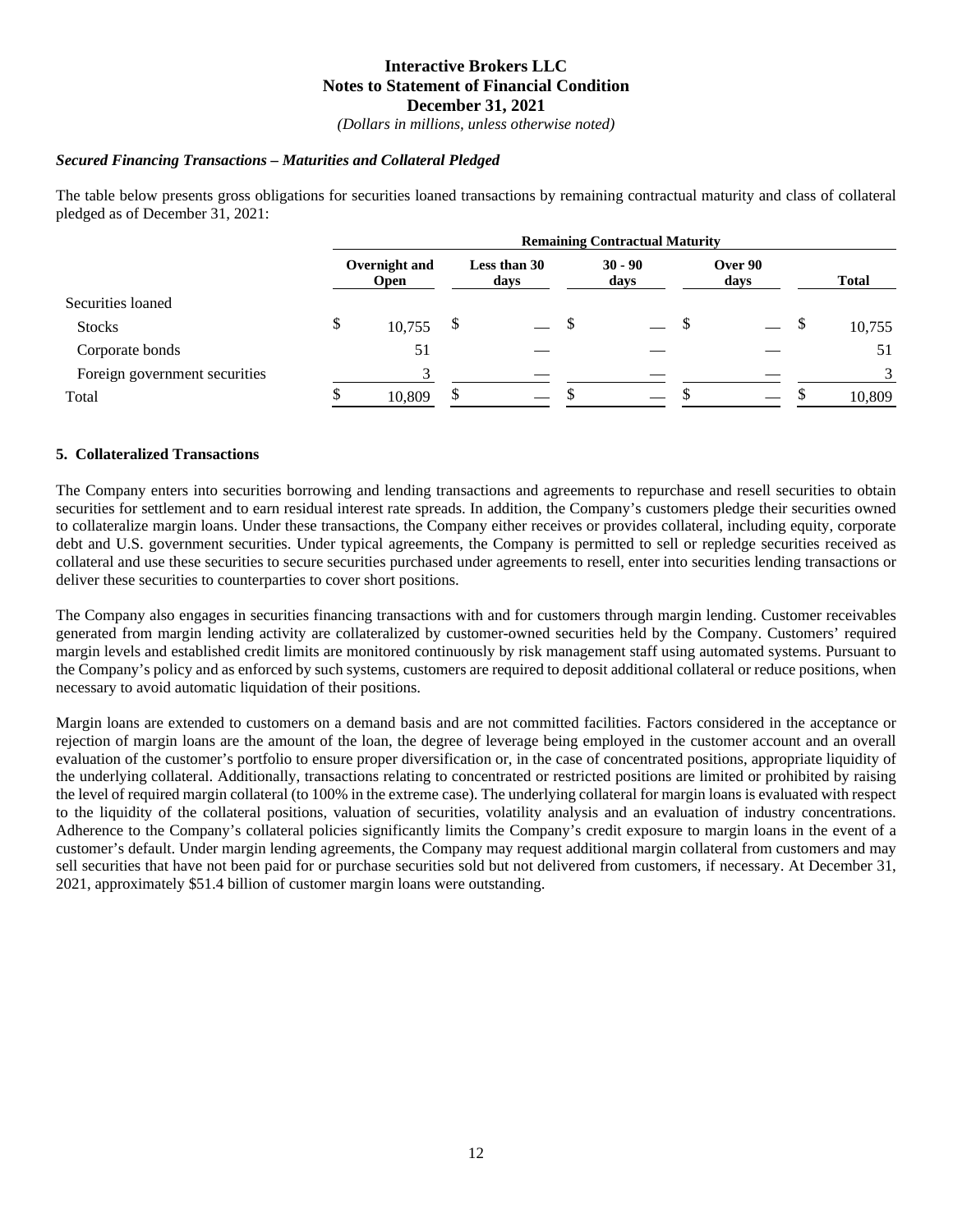*(Dollars in millions, unless otherwise noted)*

## *Secured Financing Transactions – Maturities and Collateral Pledged*

The table below presents gross obligations for securities loaned transactions by remaining contractual maturity and class of collateral pledged as of December 31, 2021:

|                               | <b>Remaining Contractual Maturity</b> |   |                      |  |                   |  |                 |    |               |  |
|-------------------------------|---------------------------------------|---|----------------------|--|-------------------|--|-----------------|----|---------------|--|
|                               | Overnight and<br><b>Open</b>          |   | Less than 30<br>days |  | $30 - 90$<br>days |  | Over 90<br>days |    | <b>Total</b>  |  |
| Securities loaned             |                                       |   |                      |  |                   |  |                 |    |               |  |
| <b>Stocks</b>                 | \$<br>10,755                          |   |                      |  |                   |  |                 | \$ | 10,755        |  |
| Corporate bonds               | 51                                    |   |                      |  |                   |  |                 |    | 51            |  |
| Foreign government securities | $\mathbf{\overline{3}}$               |   |                      |  |                   |  |                 |    | $\mathcal{R}$ |  |
| Total                         | 10,809                                | S |                      |  |                   |  |                 |    | 10,809        |  |

## **5. Collateralized Transactions**

The Company enters into securities borrowing and lending transactions and agreements to repurchase and resell securities to obtain securities for settlement and to earn residual interest rate spreads. In addition, the Company's customers pledge their securities owned to collateralize margin loans. Under these transactions, the Company either receives or provides collateral, including equity, corporate debt and U.S. government securities. Under typical agreements, the Company is permitted to sell or repledge securities received as collateral and use these securities to secure securities purchased under agreements to resell, enter into securities lending transactions or deliver these securities to counterparties to cover short positions.

The Company also engages in securities financing transactions with and for customers through margin lending. Customer receivables generated from margin lending activity are collateralized by customer-owned securities held by the Company. Customers' required margin levels and established credit limits are monitored continuously by risk management staff using automated systems. Pursuant to the Company's policy and as enforced by such systems, customers are required to deposit additional collateral or reduce positions, when necessary to avoid automatic liquidation of their positions.

Margin loans are extended to customers on a demand basis and are not committed facilities. Factors considered in the acceptance or rejection of margin loans are the amount of the loan, the degree of leverage being employed in the customer account and an overall evaluation of the customer's portfolio to ensure proper diversification or, in the case of concentrated positions, appropriate liquidity of the underlying collateral. Additionally, transactions relating to concentrated or restricted positions are limited or prohibited by raising the level of required margin collateral (to 100% in the extreme case). The underlying collateral for margin loans is evaluated with respect to the liquidity of the collateral positions, valuation of securities, volatility analysis and an evaluation of industry concentrations. Adherence to the Company's collateral policies significantly limits the Company's credit exposure to margin loans in the event of a customer's default. Under margin lending agreements, the Company may request additional margin collateral from customers and may sell securities that have not been paid for or purchase securities sold but not delivered from customers, if necessary. At December 31, 2021, approximately \$51.4 billion of customer margin loans were outstanding.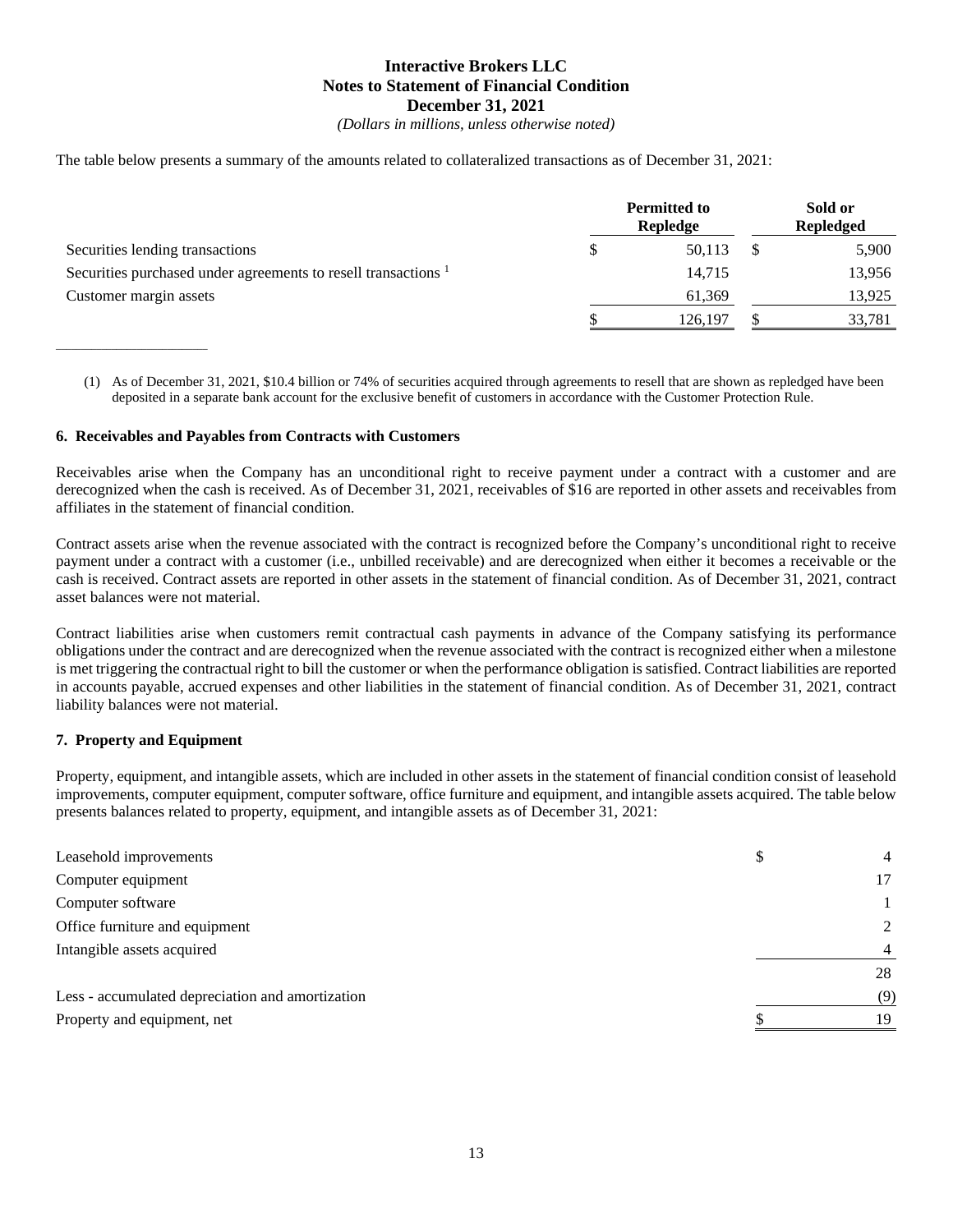*(Dollars in millions, unless otherwise noted)*

The table below presents a summary of the amounts related to collateralized transactions as of December 31, 2021:

|                                                                           | <b>Permitted to</b><br>Repledge | Sold or<br><b>Repledged</b> |
|---------------------------------------------------------------------------|---------------------------------|-----------------------------|
| Securities lending transactions                                           | 50.113                          | 5,900                       |
| Securities purchased under agreements to resell transactions <sup>1</sup> | 14.715                          | 13,956                      |
| Customer margin assets                                                    | 61,369                          | 13,925                      |
|                                                                           | 126,197                         | 33,781                      |

(1) As of December 31, 2021, \$10.4 billion or 74% of securities acquired through agreements to resell that are shown as repledged have been deposited in a separate bank account for the exclusive benefit of customers in accordance with the Customer Protection Rule.

### **6. Receivables and Payables from Contracts with Customers**

Receivables arise when the Company has an unconditional right to receive payment under a contract with a customer and are derecognized when the cash is received. As of December 31, 2021, receivables of \$16 are reported in other assets and receivables from affiliates in the statement of financial condition.

Contract assets arise when the revenue associated with the contract is recognized before the Company's unconditional right to receive payment under a contract with a customer (i.e., unbilled receivable) and are derecognized when either it becomes a receivable or the cash is received. Contract assets are reported in other assets in the statement of financial condition. As of December 31, 2021, contract asset balances were not material.

Contract liabilities arise when customers remit contractual cash payments in advance of the Company satisfying its performance obligations under the contract and are derecognized when the revenue associated with the contract is recognized either when a milestone is met triggering the contractual right to bill the customer or when the performance obligation is satisfied. Contract liabilities are reported in accounts payable, accrued expenses and other liabilities in the statement of financial condition. As of December 31, 2021, contract liability balances were not material.

#### **7. Property and Equipment**

\_\_\_\_\_\_\_\_\_\_\_\_\_\_\_\_\_\_\_\_\_\_\_\_\_\_\_\_\_\_

Property, equipment, and intangible assets, which are included in other assets in the statement of financial condition consist of leasehold improvements, computer equipment, computer software, office furniture and equipment, and intangible assets acquired. The table below presents balances related to property, equipment, and intangible assets as of December 31, 2021:

| Leasehold improvements                           | S | $\overline{4}$ |
|--------------------------------------------------|---|----------------|
| Computer equipment                               |   | 17             |
| Computer software                                |   |                |
| Office furniture and equipment                   |   | 2              |
| Intangible assets acquired                       |   | $\overline{4}$ |
|                                                  |   | 28             |
| Less - accumulated depreciation and amortization |   | (9)            |
| Property and equipment, net                      |   | 19             |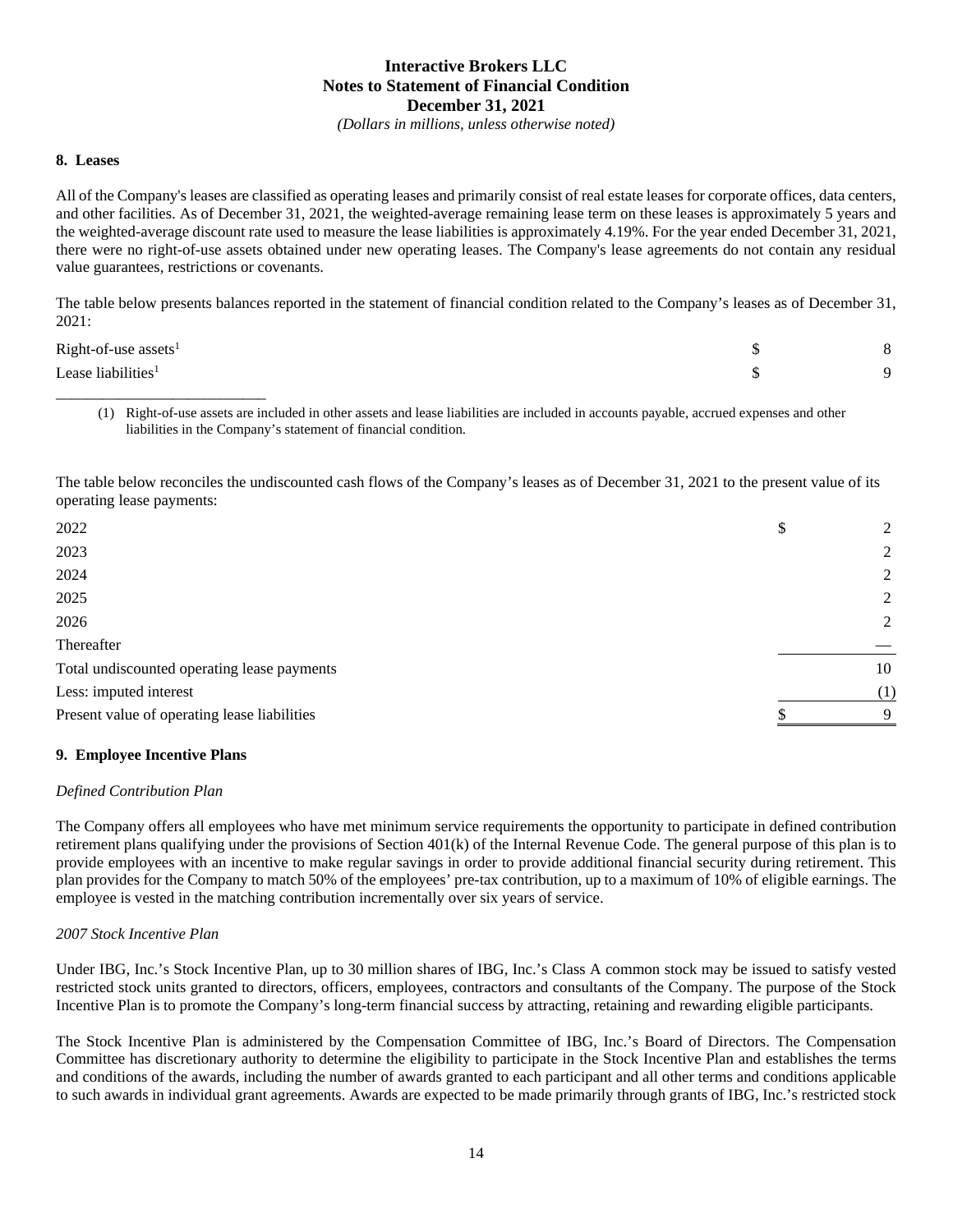*(Dollars in millions, unless otherwise noted)*

#### **8. Leases**

All of the Company's leases are classified as operating leases and primarily consist of real estate leases for corporate offices, data centers, and other facilities. As of December 31, 2021, the weighted-average remaining lease term on these leases is approximately 5 years and the weighted-average discount rate used to measure the lease liabilities is approximately 4.19%. For the year ended December 31, 2021, there were no right-of-use assets obtained under new operating leases. The Company's lease agreements do not contain any residual value guarantees, restrictions or covenants.

The table below presents balances reported in the statement of financial condition related to the Company's leases as of December 31, 2021:

| $Right-of-use assets1$         |  |
|--------------------------------|--|
| Lease liabilities <sup>1</sup> |  |

<sup>(1)</sup> Right-of-use assets are included in other assets and lease liabilities are included in accounts payable, accrued expenses and other liabilities in the Company's statement of financial condition.

The table below reconciles the undiscounted cash flows of the Company's leases as of December 31, 2021 to the present value of its operating lease payments:

| 2022                                         | \$<br>2     |
|----------------------------------------------|-------------|
| 2023                                         | 2           |
| 2024                                         | 2           |
| 2025                                         | 2           |
| 2026                                         | 2           |
| Thereafter                                   |             |
| Total undiscounted operating lease payments  | 10          |
| Less: imputed interest                       | (1)         |
| Present value of operating lease liabilities | $\mathbf Q$ |
|                                              |             |

## **9. Employee Incentive Plans**

\_\_\_\_\_\_\_\_\_\_\_\_\_\_\_\_\_\_\_\_\_\_\_\_\_\_\_

#### *Defined Contribution Plan*

The Company offers all employees who have met minimum service requirements the opportunity to participate in defined contribution retirement plans qualifying under the provisions of Section 401(k) of the Internal Revenue Code. The general purpose of this plan is to provide employees with an incentive to make regular savings in order to provide additional financial security during retirement. This plan provides for the Company to match 50% of the employees' pre-tax contribution, up to a maximum of 10% of eligible earnings. The employee is vested in the matching contribution incrementally over six years of service.

#### *2007 Stock Incentive Plan*

Under IBG, Inc.'s Stock Incentive Plan, up to 30 million shares of IBG, Inc.'s Class A common stock may be issued to satisfy vested restricted stock units granted to directors, officers, employees, contractors and consultants of the Company. The purpose of the Stock Incentive Plan is to promote the Company's long-term financial success by attracting, retaining and rewarding eligible participants.

The Stock Incentive Plan is administered by the Compensation Committee of IBG, Inc.'s Board of Directors. The Compensation Committee has discretionary authority to determine the eligibility to participate in the Stock Incentive Plan and establishes the terms and conditions of the awards, including the number of awards granted to each participant and all other terms and conditions applicable to such awards in individual grant agreements. Awards are expected to be made primarily through grants of IBG, Inc.'s restricted stock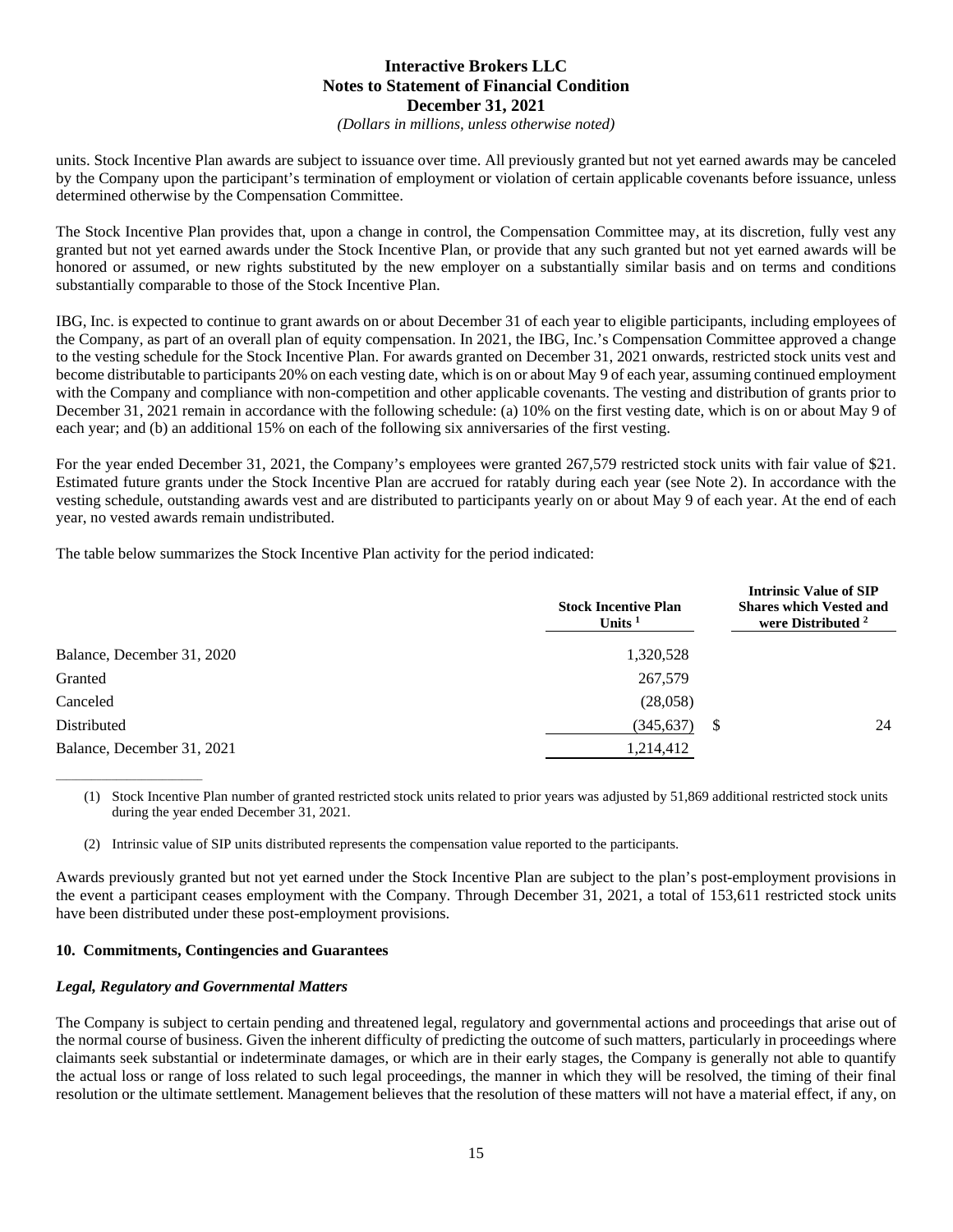*(Dollars in millions, unless otherwise noted)*

units. Stock Incentive Plan awards are subject to issuance over time. All previously granted but not yet earned awards may be canceled by the Company upon the participant's termination of employment or violation of certain applicable covenants before issuance, unless determined otherwise by the Compensation Committee.

The Stock Incentive Plan provides that, upon a change in control, the Compensation Committee may, at its discretion, fully vest any granted but not yet earned awards under the Stock Incentive Plan, or provide that any such granted but not yet earned awards will be honored or assumed, or new rights substituted by the new employer on a substantially similar basis and on terms and conditions substantially comparable to those of the Stock Incentive Plan.

IBG, Inc. is expected to continue to grant awards on or about December 31 of each year to eligible participants, including employees of the Company, as part of an overall plan of equity compensation. In 2021, the IBG, Inc.'s Compensation Committee approved a change to the vesting schedule for the Stock Incentive Plan. For awards granted on December 31, 2021 onwards, restricted stock units vest and become distributable to participants 20% on each vesting date, which is on or about May 9 of each year, assuming continued employment with the Company and compliance with non-competition and other applicable covenants. The vesting and distribution of grants prior to December 31, 2021 remain in accordance with the following schedule: (a) 10% on the first vesting date, which is on or about May 9 of each year; and (b) an additional 15% on each of the following six anniversaries of the first vesting.

For the year ended December 31, 2021, the Company's employees were granted 267,579 restricted stock units with fair value of \$21. Estimated future grants under the Stock Incentive Plan are accrued for ratably during each year (see Note 2). In accordance with the vesting schedule, outstanding awards vest and are distributed to participants yearly on or about May 9 of each year. At the end of each year, no vested awards remain undistributed.

The table below summarizes the Stock Incentive Plan activity for the period indicated:

|                            | <b>Stock Incentive Plan</b><br>Units $1$ | <b>Intrinsic Value of SIP</b><br><b>Shares which Vested and</b><br>were Distributed <sup>2</sup> |
|----------------------------|------------------------------------------|--------------------------------------------------------------------------------------------------|
| Balance, December 31, 2020 | 1,320,528                                |                                                                                                  |
| Granted                    | 267,579                                  |                                                                                                  |
| Canceled                   | (28,058)                                 |                                                                                                  |
| Distributed                | (345,637)                                | 24<br>S                                                                                          |
| Balance, December 31, 2021 | 1,214,412                                |                                                                                                  |

(1) Stock Incentive Plan number of granted restricted stock units related to prior years was adjusted by 51,869 additional restricted stock units during the year ended December 31, 2021.

(2) Intrinsic value of SIP units distributed represents the compensation value reported to the participants.

Awards previously granted but not yet earned under the Stock Incentive Plan are subject to the plan's post-employment provisions in the event a participant ceases employment with the Company. Through December 31, 2021, a total of 153,611 restricted stock units have been distributed under these post-employment provisions.

#### **10. Commitments, Contingencies and Guarantees**

#### *Legal, Regulatory and Governmental Matters*

\_\_\_\_\_\_\_\_\_\_\_\_\_\_\_\_\_\_\_\_\_\_\_\_\_\_\_\_\_

The Company is subject to certain pending and threatened legal, regulatory and governmental actions and proceedings that arise out of the normal course of business. Given the inherent difficulty of predicting the outcome of such matters, particularly in proceedings where claimants seek substantial or indeterminate damages, or which are in their early stages, the Company is generally not able to quantify the actual loss or range of loss related to such legal proceedings, the manner in which they will be resolved, the timing of their final resolution or the ultimate settlement. Management believes that the resolution of these matters will not have a material effect, if any, on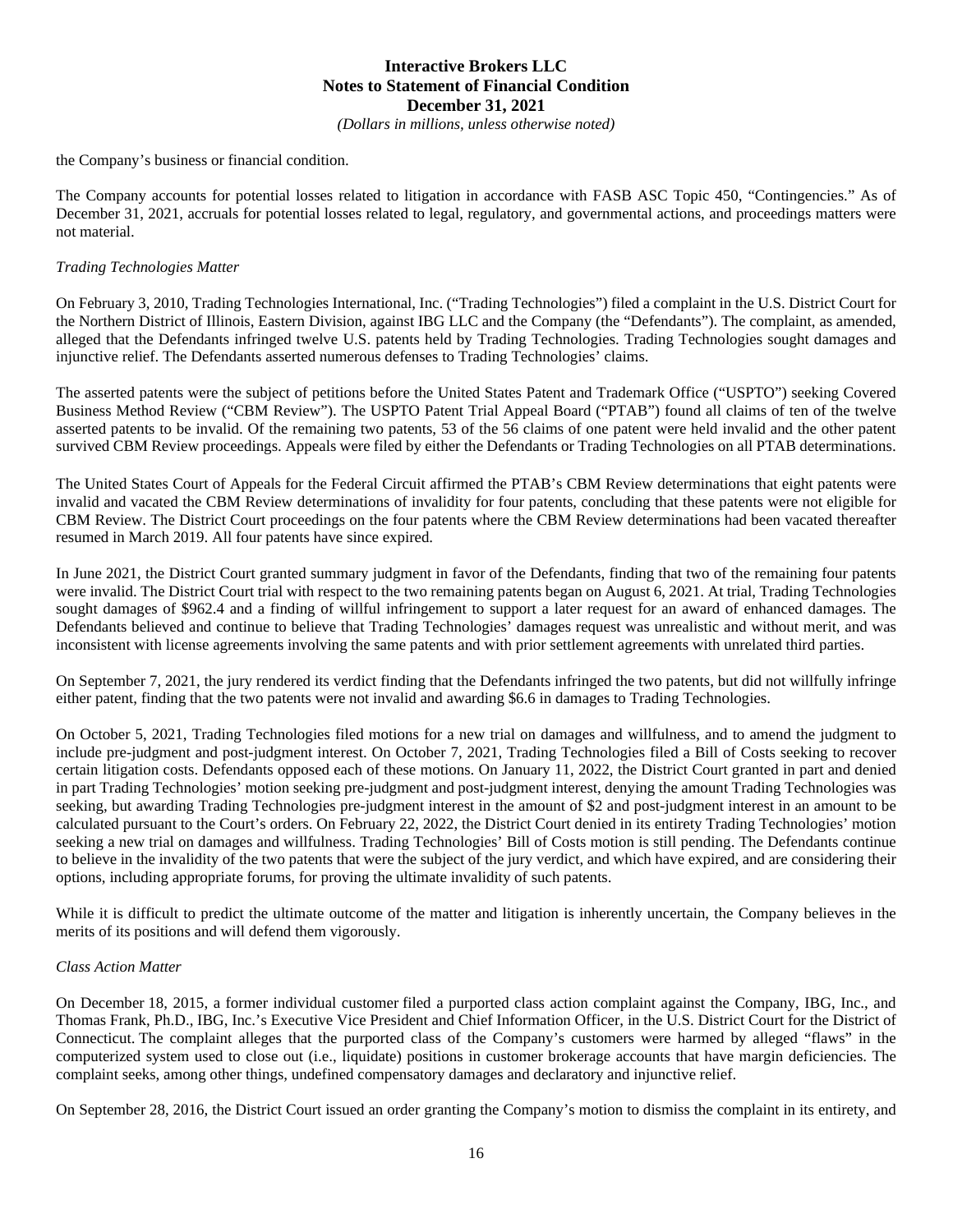*(Dollars in millions, unless otherwise noted)*

the Company's business or financial condition.

The Company accounts for potential losses related to litigation in accordance with FASB ASC Topic 450, "Contingencies." As of December 31, 2021, accruals for potential losses related to legal, regulatory, and governmental actions, and proceedings matters were not material.

#### *Trading Technologies Matter*

On February 3, 2010, Trading Technologies International, Inc. ("Trading Technologies") filed a complaint in the U.S. District Court for the Northern District of Illinois, Eastern Division, against IBG LLC and the Company (the "Defendants"). The complaint, as amended, alleged that the Defendants infringed twelve U.S. patents held by Trading Technologies. Trading Technologies sought damages and injunctive relief. The Defendants asserted numerous defenses to Trading Technologies' claims.

The asserted patents were the subject of petitions before the United States Patent and Trademark Office ("USPTO") seeking Covered Business Method Review ("CBM Review"). The USPTO Patent Trial Appeal Board ("PTAB") found all claims of ten of the twelve asserted patents to be invalid. Of the remaining two patents, 53 of the 56 claims of one patent were held invalid and the other patent survived CBM Review proceedings. Appeals were filed by either the Defendants or Trading Technologies on all PTAB determinations.

The United States Court of Appeals for the Federal Circuit affirmed the PTAB's CBM Review determinations that eight patents were invalid and vacated the CBM Review determinations of invalidity for four patents, concluding that these patents were not eligible for CBM Review. The District Court proceedings on the four patents where the CBM Review determinations had been vacated thereafter resumed in March 2019. All four patents have since expired.

In June 2021, the District Court granted summary judgment in favor of the Defendants, finding that two of the remaining four patents were invalid. The District Court trial with respect to the two remaining patents began on August 6, 2021. At trial, Trading Technologies sought damages of \$962.4 and a finding of willful infringement to support a later request for an award of enhanced damages. The Defendants believed and continue to believe that Trading Technologies' damages request was unrealistic and without merit, and was inconsistent with license agreements involving the same patents and with prior settlement agreements with unrelated third parties.

On September 7, 2021, the jury rendered its verdict finding that the Defendants infringed the two patents, but did not willfully infringe either patent, finding that the two patents were not invalid and awarding \$6.6 in damages to Trading Technologies.

On October 5, 2021, Trading Technologies filed motions for a new trial on damages and willfulness, and to amend the judgment to include pre-judgment and post-judgment interest. On October 7, 2021, Trading Technologies filed a Bill of Costs seeking to recover certain litigation costs. Defendants opposed each of these motions. On January 11, 2022, the District Court granted in part and denied in part Trading Technologies' motion seeking pre-judgment and post-judgment interest, denying the amount Trading Technologies was seeking, but awarding Trading Technologies pre-judgment interest in the amount of \$2 and post-judgment interest in an amount to be calculated pursuant to the Court's orders. On February 22, 2022, the District Court denied in its entirety Trading Technologies' motion seeking a new trial on damages and willfulness. Trading Technologies' Bill of Costs motion is still pending. The Defendants continue to believe in the invalidity of the two patents that were the subject of the jury verdict, and which have expired, and are considering their options, including appropriate forums, for proving the ultimate invalidity of such patents.

While it is difficult to predict the ultimate outcome of the matter and litigation is inherently uncertain, the Company believes in the merits of its positions and will defend them vigorously.

#### *Class Action Matter*

On December 18, 2015, a former individual customer filed a purported class action complaint against the Company, IBG, Inc., and Thomas Frank, Ph.D., IBG, Inc.'s Executive Vice President and Chief Information Officer, in the U.S. District Court for the District of Connecticut. The complaint alleges that the purported class of the Company's customers were harmed by alleged "flaws" in the computerized system used to close out (i.e., liquidate) positions in customer brokerage accounts that have margin deficiencies. The complaint seeks, among other things, undefined compensatory damages and declaratory and injunctive relief.

On September 28, 2016, the District Court issued an order granting the Company's motion to dismiss the complaint in its entirety, and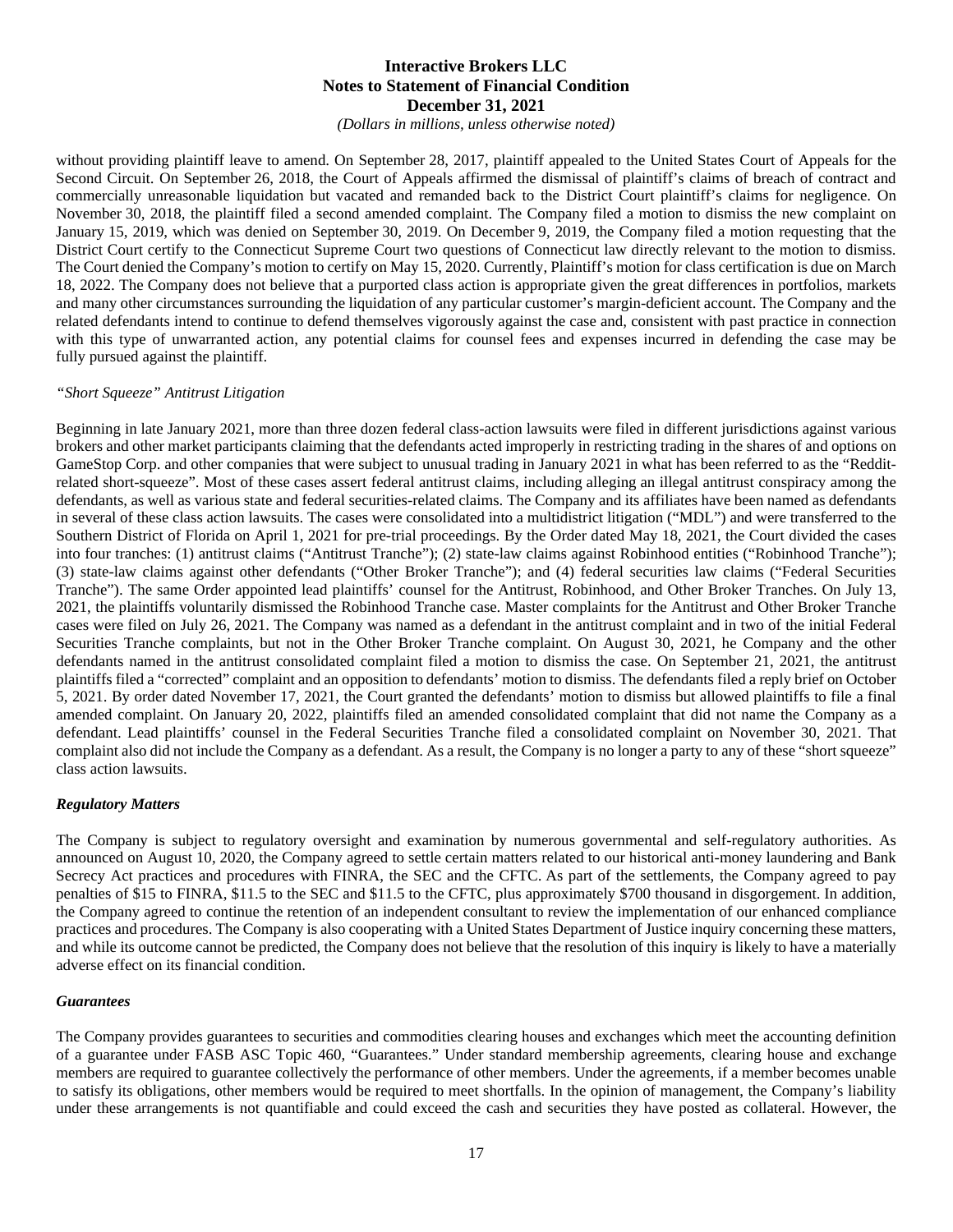*(Dollars in millions, unless otherwise noted)*

without providing plaintiff leave to amend. On September 28, 2017, plaintiff appealed to the United States Court of Appeals for the Second Circuit. On September 26, 2018, the Court of Appeals affirmed the dismissal of plaintiff's claims of breach of contract and commercially unreasonable liquidation but vacated and remanded back to the District Court plaintiff's claims for negligence. On November 30, 2018, the plaintiff filed a second amended complaint. The Company filed a motion to dismiss the new complaint on January 15, 2019, which was denied on September 30, 2019. On December 9, 2019, the Company filed a motion requesting that the District Court certify to the Connecticut Supreme Court two questions of Connecticut law directly relevant to the motion to dismiss. The Court denied the Company's motion to certify on May 15, 2020. Currently, Plaintiff's motion for class certification is due on March 18, 2022. The Company does not believe that a purported class action is appropriate given the great differences in portfolios, markets and many other circumstances surrounding the liquidation of any particular customer's margin-deficient account. The Company and the related defendants intend to continue to defend themselves vigorously against the case and, consistent with past practice in connection with this type of unwarranted action, any potential claims for counsel fees and expenses incurred in defending the case may be fully pursued against the plaintiff.

#### *"Short Squeeze" Antitrust Litigation*

Beginning in late January 2021, more than three dozen federal class-action lawsuits were filed in different jurisdictions against various brokers and other market participants claiming that the defendants acted improperly in restricting trading in the shares of and options on GameStop Corp. and other companies that were subject to unusual trading in January 2021 in what has been referred to as the "Redditrelated short-squeeze". Most of these cases assert federal antitrust claims, including alleging an illegal antitrust conspiracy among the defendants, as well as various state and federal securities-related claims. The Company and its affiliates have been named as defendants in several of these class action lawsuits. The cases were consolidated into a multidistrict litigation ("MDL") and were transferred to the Southern District of Florida on April 1, 2021 for pre-trial proceedings. By the Order dated May 18, 2021, the Court divided the cases into four tranches: (1) antitrust claims ("Antitrust Tranche"); (2) state-law claims against Robinhood entities ("Robinhood Tranche"); (3) state-law claims against other defendants ("Other Broker Tranche"); and (4) federal securities law claims ("Federal Securities Tranche"). The same Order appointed lead plaintiffs' counsel for the Antitrust, Robinhood, and Other Broker Tranches. On July 13, 2021, the plaintiffs voluntarily dismissed the Robinhood Tranche case. Master complaints for the Antitrust and Other Broker Tranche cases were filed on July 26, 2021. The Company was named as a defendant in the antitrust complaint and in two of the initial Federal Securities Tranche complaints, but not in the Other Broker Tranche complaint. On August 30, 2021, he Company and the other defendants named in the antitrust consolidated complaint filed a motion to dismiss the case. On September 21, 2021, the antitrust plaintiffs filed a "corrected" complaint and an opposition to defendants' motion to dismiss. The defendants filed a reply brief on October 5, 2021. By order dated November 17, 2021, the Court granted the defendants' motion to dismiss but allowed plaintiffs to file a final amended complaint. On January 20, 2022, plaintiffs filed an amended consolidated complaint that did not name the Company as a defendant. Lead plaintiffs' counsel in the Federal Securities Tranche filed a consolidated complaint on November 30, 2021. That complaint also did not include the Company as a defendant. As a result, the Company is no longer a party to any of these "short squeeze" class action lawsuits.

#### *Regulatory Matters*

The Company is subject to regulatory oversight and examination by numerous governmental and self-regulatory authorities. As announced on August 10, 2020, the Company agreed to settle certain matters related to our historical anti-money laundering and Bank Secrecy Act practices and procedures with FINRA, the SEC and the CFTC. As part of the settlements, the Company agreed to pay penalties of \$15 to FINRA, \$11.5 to the SEC and \$11.5 to the CFTC, plus approximately \$700 thousand in disgorgement. In addition, the Company agreed to continue the retention of an independent consultant to review the implementation of our enhanced compliance practices and procedures. The Company is also cooperating with a United States Department of Justice inquiry concerning these matters, and while its outcome cannot be predicted, the Company does not believe that the resolution of this inquiry is likely to have a materially adverse effect on its financial condition.

#### *Guarantees*

The Company provides guarantees to securities and commodities clearing houses and exchanges which meet the accounting definition of a guarantee under FASB ASC Topic 460, "Guarantees." Under standard membership agreements, clearing house and exchange members are required to guarantee collectively the performance of other members. Under the agreements, if a member becomes unable to satisfy its obligations, other members would be required to meet shortfalls. In the opinion of management, the Company's liability under these arrangements is not quantifiable and could exceed the cash and securities they have posted as collateral. However, the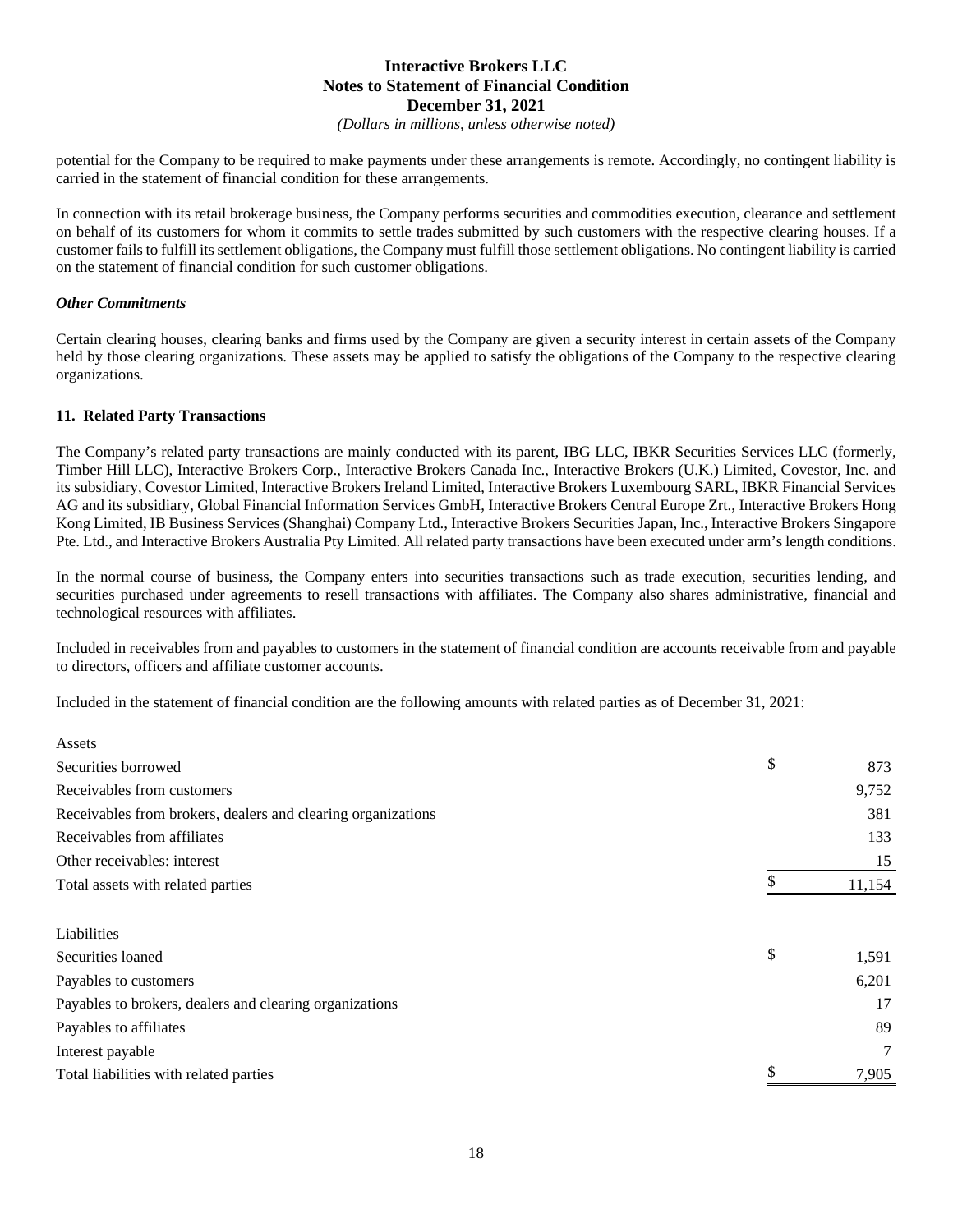*(Dollars in millions, unless otherwise noted)*

potential for the Company to be required to make payments under these arrangements is remote. Accordingly, no contingent liability is carried in the statement of financial condition for these arrangements.

In connection with its retail brokerage business, the Company performs securities and commodities execution, clearance and settlement on behalf of its customers for whom it commits to settle trades submitted by such customers with the respective clearing houses. If a customer fails to fulfill its settlement obligations, the Company must fulfill those settlement obligations. No contingent liability is carried on the statement of financial condition for such customer obligations.

### *Other Commitments*

Assets

Certain clearing houses, clearing banks and firms used by the Company are given a security interest in certain assets of the Company held by those clearing organizations. These assets may be applied to satisfy the obligations of the Company to the respective clearing organizations.

## **11. Related Party Transactions**

The Company's related party transactions are mainly conducted with its parent, IBG LLC, IBKR Securities Services LLC (formerly, Timber Hill LLC), Interactive Brokers Corp., Interactive Brokers Canada Inc., Interactive Brokers (U.K.) Limited, Covestor, Inc. and its subsidiary, Covestor Limited, Interactive Brokers Ireland Limited, Interactive Brokers Luxembourg SARL, IBKR Financial Services AG and its subsidiary, Global Financial Information Services GmbH, Interactive Brokers Central Europe Zrt., Interactive Brokers Hong Kong Limited, IB Business Services (Shanghai) Company Ltd., Interactive Brokers Securities Japan, Inc., Interactive Brokers Singapore Pte. Ltd., and Interactive Brokers Australia Pty Limited. All related party transactions have been executed under arm's length conditions.

In the normal course of business, the Company enters into securities transactions such as trade execution, securities lending, and securities purchased under agreements to resell transactions with affiliates. The Company also shares administrative, financial and technological resources with affiliates.

Included in receivables from and payables to customers in the statement of financial condition are accounts receivable from and payable to directors, officers and affiliate customer accounts.

Included in the statement of financial condition are the following amounts with related parties as of December 31, 2021:

| ASSUS                                                        |              |
|--------------------------------------------------------------|--------------|
| Securities borrowed                                          | \$<br>873    |
| Receivables from customers                                   | 9,752        |
| Receivables from brokers, dealers and clearing organizations | 381          |
| Receivables from affiliates                                  | 133          |
| Other receivables: interest                                  | 15           |
| Total assets with related parties                            | \$<br>11,154 |
| Liabilities                                                  |              |
| Securities loaned                                            | \$<br>1,591  |
| Payables to customers                                        | 6,201        |
| Payables to brokers, dealers and clearing organizations      | 17           |
| Payables to affiliates                                       | 89           |
| Interest payable                                             |              |
| Total liabilities with related parties                       | 7,905        |
|                                                              |              |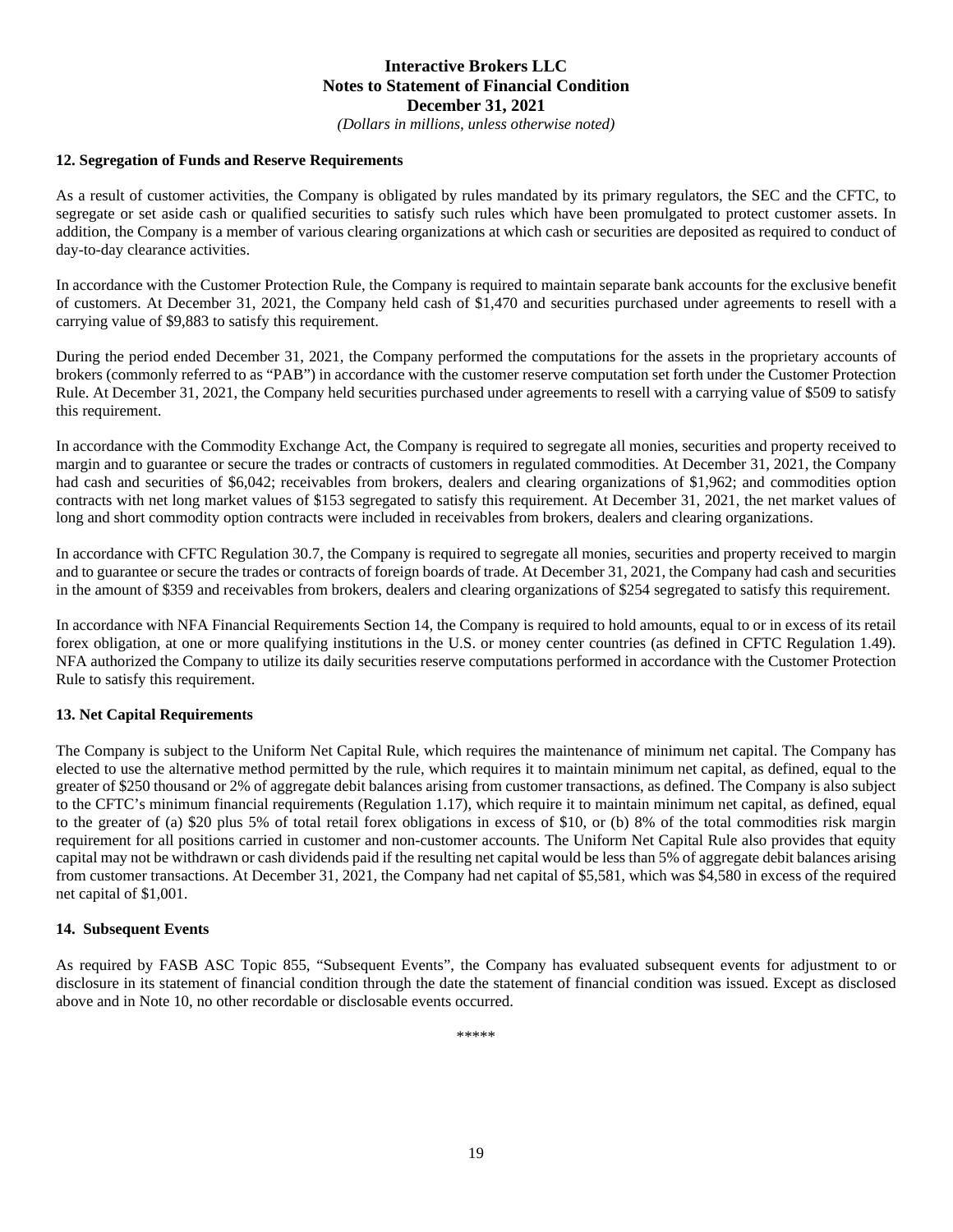*(Dollars in millions, unless otherwise noted)*

#### **12. Segregation of Funds and Reserve Requirements**

As a result of customer activities, the Company is obligated by rules mandated by its primary regulators, the SEC and the CFTC, to segregate or set aside cash or qualified securities to satisfy such rules which have been promulgated to protect customer assets. In addition, the Company is a member of various clearing organizations at which cash or securities are deposited as required to conduct of day-to-day clearance activities.

In accordance with the Customer Protection Rule, the Company is required to maintain separate bank accounts for the exclusive benefit of customers. At December 31, 2021, the Company held cash of \$1,470 and securities purchased under agreements to resell with a carrying value of \$9,883 to satisfy this requirement.

During the period ended December 31, 2021, the Company performed the computations for the assets in the proprietary accounts of brokers (commonly referred to as "PAB") in accordance with the customer reserve computation set forth under the Customer Protection Rule. At December 31, 2021, the Company held securities purchased under agreements to resell with a carrying value of \$509 to satisfy this requirement.

In accordance with the Commodity Exchange Act, the Company is required to segregate all monies, securities and property received to margin and to guarantee or secure the trades or contracts of customers in regulated commodities. At December 31, 2021, the Company had cash and securities of \$6,042; receivables from brokers, dealers and clearing organizations of \$1,962; and commodities option contracts with net long market values of \$153 segregated to satisfy this requirement. At December 31, 2021, the net market values of long and short commodity option contracts were included in receivables from brokers, dealers and clearing organizations.

In accordance with CFTC Regulation 30.7, the Company is required to segregate all monies, securities and property received to margin and to guarantee or secure the trades or contracts of foreign boards of trade. At December 31, 2021, the Company had cash and securities in the amount of \$359 and receivables from brokers, dealers and clearing organizations of \$254 segregated to satisfy this requirement.

In accordance with NFA Financial Requirements Section 14, the Company is required to hold amounts, equal to or in excess of its retail forex obligation, at one or more qualifying institutions in the U.S. or money center countries (as defined in CFTC Regulation 1.49). NFA authorized the Company to utilize its daily securities reserve computations performed in accordance with the Customer Protection Rule to satisfy this requirement.

#### **13. Net Capital Requirements**

The Company is subject to the Uniform Net Capital Rule, which requires the maintenance of minimum net capital. The Company has elected to use the alternative method permitted by the rule, which requires it to maintain minimum net capital, as defined, equal to the greater of \$250 thousand or 2% of aggregate debit balances arising from customer transactions, as defined. The Company is also subject to the CFTC's minimum financial requirements (Regulation 1.17), which require it to maintain minimum net capital, as defined, equal to the greater of (a) \$20 plus 5% of total retail forex obligations in excess of \$10, or (b) 8% of the total commodities risk margin requirement for all positions carried in customer and non-customer accounts. The Uniform Net Capital Rule also provides that equity capital may not be withdrawn or cash dividends paid if the resulting net capital would be less than 5% of aggregate debit balances arising from customer transactions. At December 31, 2021, the Company had net capital of \$5,581, which was \$4,580 in excess of the required net capital of \$1,001.

#### **14. Subsequent Events**

As required by FASB ASC Topic 855, "Subsequent Events", the Company has evaluated subsequent events for adjustment to or disclosure in its statement of financial condition through the date the statement of financial condition was issued. Except as disclosed above and in Note 10, no other recordable or disclosable events occurred.

\*\*\*\*\*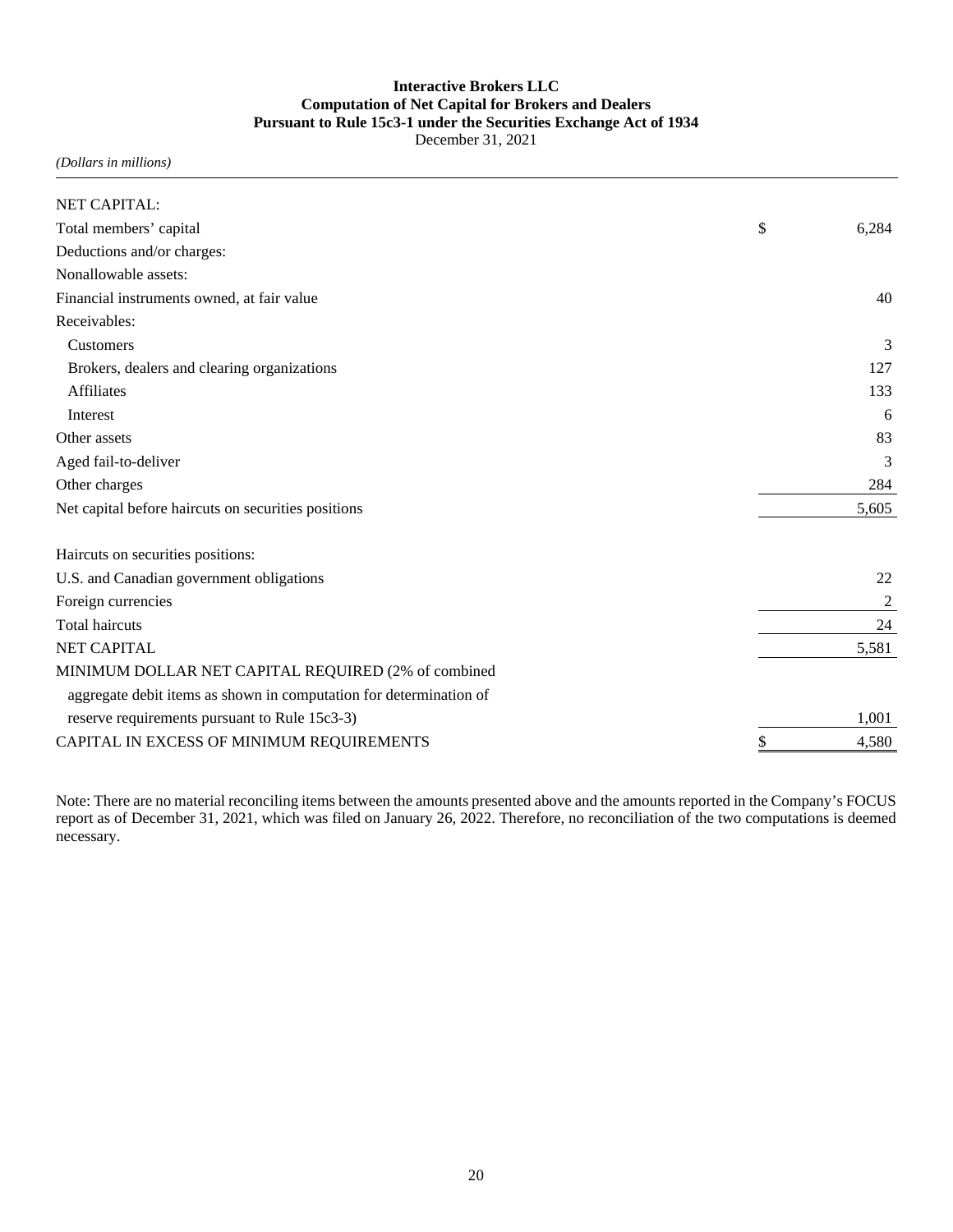## **Interactive Brokers LLC Computation of Net Capital for Brokers and Dealers Pursuant to Rule 15c3-1 under the Securities Exchange Act of 1934** December 31, 2021

*(Dollars in millions)*

| NET CAPITAL:                                                       |             |
|--------------------------------------------------------------------|-------------|
|                                                                    |             |
| Total members' capital                                             | \$<br>6,284 |
| Deductions and/or charges:                                         |             |
| Nonallowable assets:                                               |             |
| Financial instruments owned, at fair value                         | 40          |
| Receivables:                                                       |             |
| Customers                                                          | 3           |
| Brokers, dealers and clearing organizations                        | 127         |
| <b>Affiliates</b>                                                  | 133         |
| Interest                                                           | 6           |
| Other assets                                                       | 83          |
| Aged fail-to-deliver                                               | 3           |
| Other charges                                                      | 284         |
| Net capital before haircuts on securities positions                | 5,605       |
| Haircuts on securities positions:                                  |             |
| U.S. and Canadian government obligations                           | 22          |
| Foreign currencies                                                 | 2           |
| <b>Total haircuts</b>                                              | 24          |
| <b>NET CAPITAL</b>                                                 | 5,581       |
| MINIMUM DOLLAR NET CAPITAL REQUIRED (2% of combined                |             |
| aggregate debit items as shown in computation for determination of |             |
| reserve requirements pursuant to Rule 15c3-3)                      | 1,001       |
| CAPITAL IN EXCESS OF MINIMUM REQUIREMENTS                          | 4,580       |

Note: There are no material reconciling items between the amounts presented above and the amounts reported in the Company's FOCUS report as of December 31, 2021, which was filed on January 26, 2022. Therefore, no reconciliation of the two computations is deemed necessary.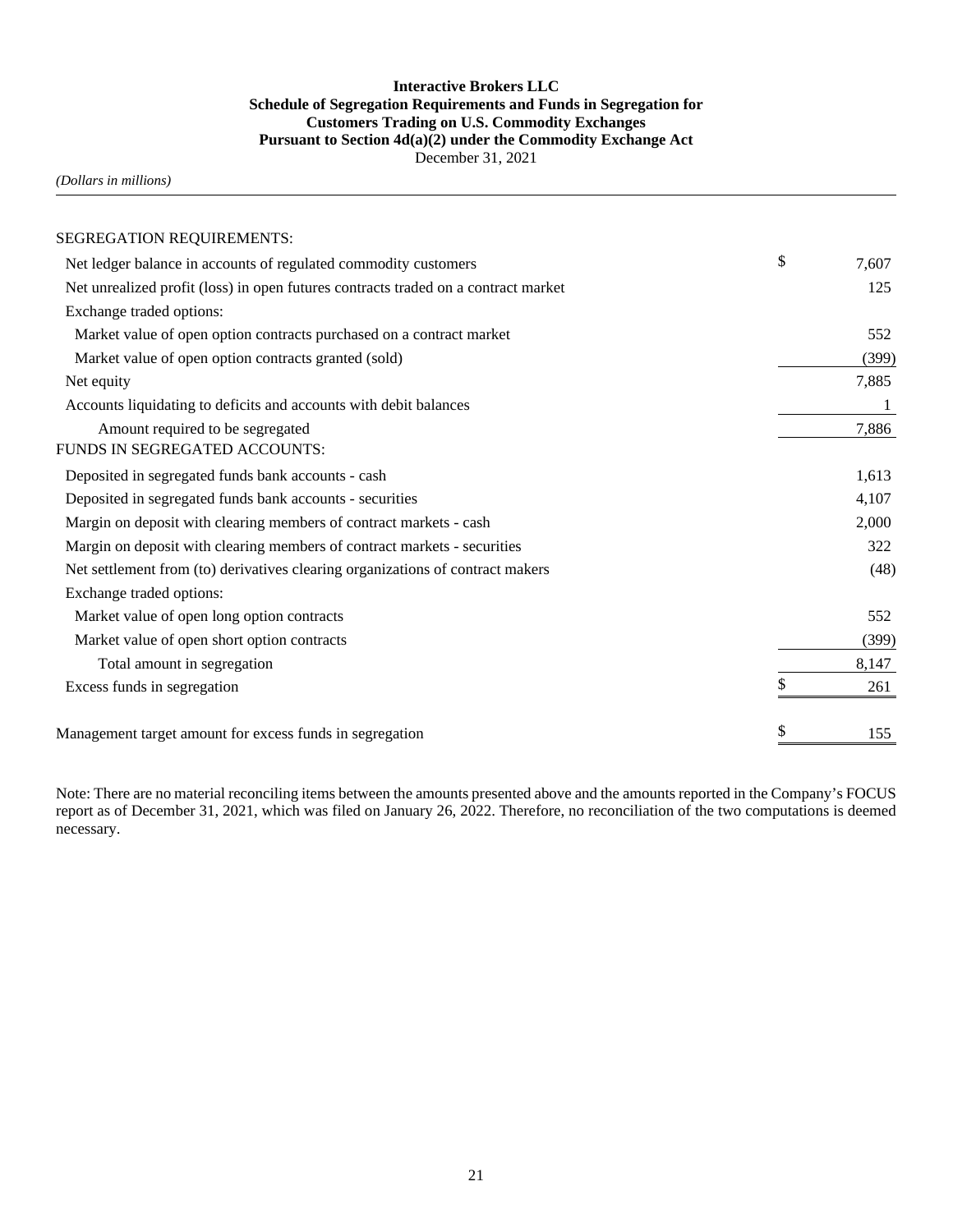## **Interactive Brokers LLC Schedule of Segregation Requirements and Funds in Segregation for Customers Trading on U.S. Commodity Exchanges Pursuant to Section 4d(a)(2) under the Commodity Exchange Act** December 31, 2021

*(Dollars in millions)*

| SEGREGATION REQUIREMENTS:                                                          |    |       |
|------------------------------------------------------------------------------------|----|-------|
| Net ledger balance in accounts of regulated commodity customers                    | \$ | 7,607 |
| Net unrealized profit (loss) in open futures contracts traded on a contract market |    | 125   |
| Exchange traded options:                                                           |    |       |
| Market value of open option contracts purchased on a contract market               |    | 552   |
| Market value of open option contracts granted (sold)                               |    | (399) |
| Net equity                                                                         |    | 7,885 |
| Accounts liquidating to deficits and accounts with debit balances                  |    |       |
| Amount required to be segregated                                                   |    | 7,886 |
| <b>FUNDS IN SEGREGATED ACCOUNTS:</b>                                               |    |       |
| Deposited in segregated funds bank accounts - cash                                 |    | 1,613 |
| Deposited in segregated funds bank accounts - securities                           |    | 4,107 |
| Margin on deposit with clearing members of contract markets - cash                 |    | 2,000 |
| Margin on deposit with clearing members of contract markets - securities           |    | 322   |
| Net settlement from (to) derivatives clearing organizations of contract makers     |    | (48)  |
| Exchange traded options:                                                           |    |       |
| Market value of open long option contracts                                         |    | 552   |
| Market value of open short option contracts                                        |    | (399) |
| Total amount in segregation                                                        |    | 8,147 |
| Excess funds in segregation                                                        | S  | 261   |
| Management target amount for excess funds in segregation                           | \$ | 155   |

Note: There are no material reconciling items between the amounts presented above and the amounts reported in the Company's FOCUS report as of December 31, 2021, which was filed on January 26, 2022. Therefore, no reconciliation of the two computations is deemed necessary.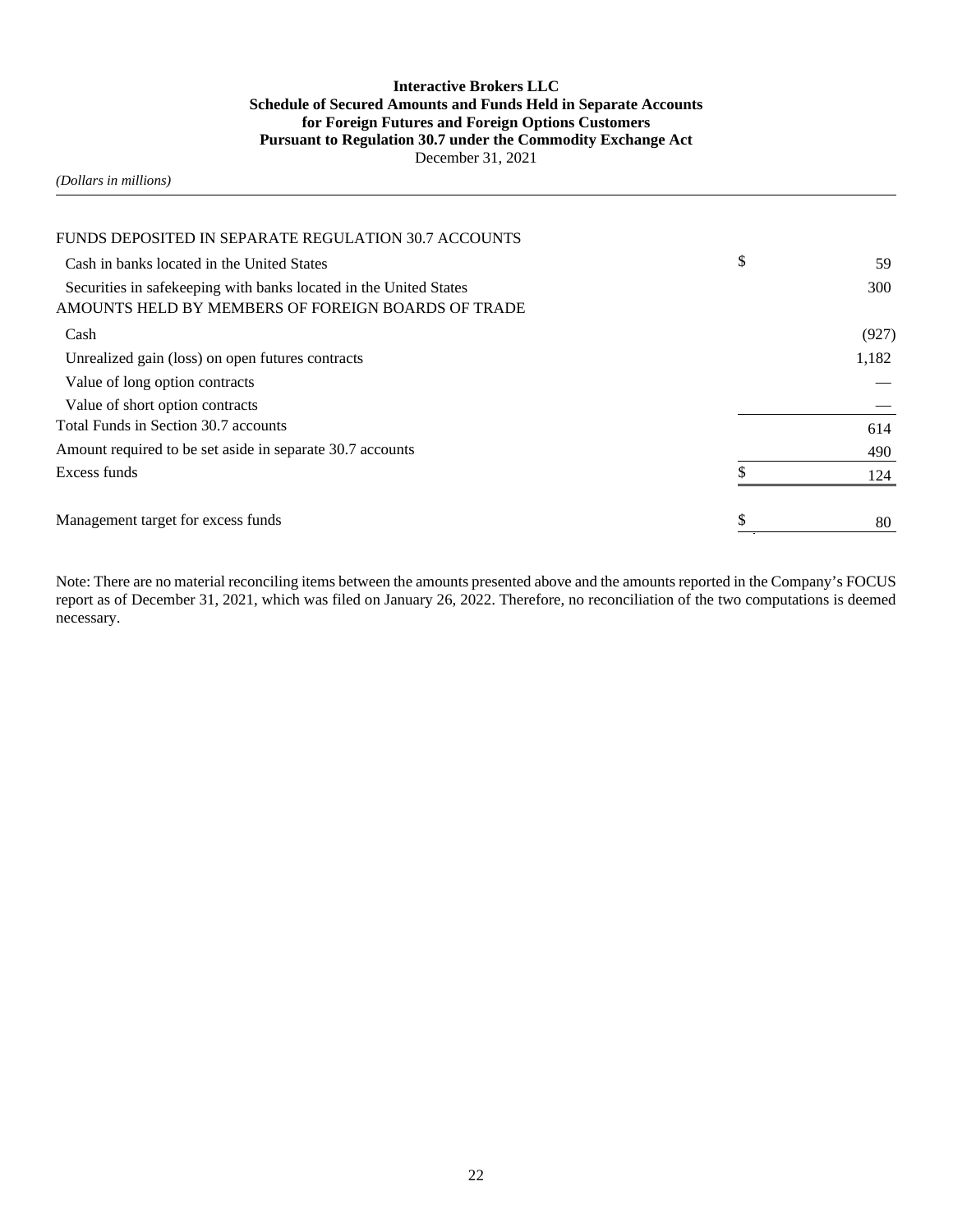## **Interactive Brokers LLC Schedule of Secured Amounts and Funds Held in Separate Accounts for Foreign Futures and Foreign Options Customers Pursuant to Regulation 30.7 under the Commodity Exchange Act** December 31, 2021

#### *(Dollars in millions)*

| FUNDS DEPOSITED IN SEPARATE REGULATION 30.7 ACCOUNTS                                                                    |          |
|-------------------------------------------------------------------------------------------------------------------------|----------|
| Cash in banks located in the United States                                                                              | \$<br>59 |
| Securities in safekeeping with banks located in the United States<br>AMOUNTS HELD BY MEMBERS OF FOREIGN BOARDS OF TRADE | 300      |
| Cash                                                                                                                    | (927)    |
| Unrealized gain (loss) on open futures contracts                                                                        | 1,182    |
| Value of long option contracts                                                                                          |          |
| Value of short option contracts                                                                                         |          |
| Total Funds in Section 30.7 accounts                                                                                    | 614      |
| Amount required to be set aside in separate 30.7 accounts                                                               | 490      |
| Excess funds                                                                                                            | 124      |
| Management target for excess funds                                                                                      | 80       |

Note: There are no material reconciling items between the amounts presented above and the amounts reported in the Company's FOCUS report as of December 31, 2021, which was filed on January 26, 2022. Therefore, no reconciliation of the two computations is deemed necessary.